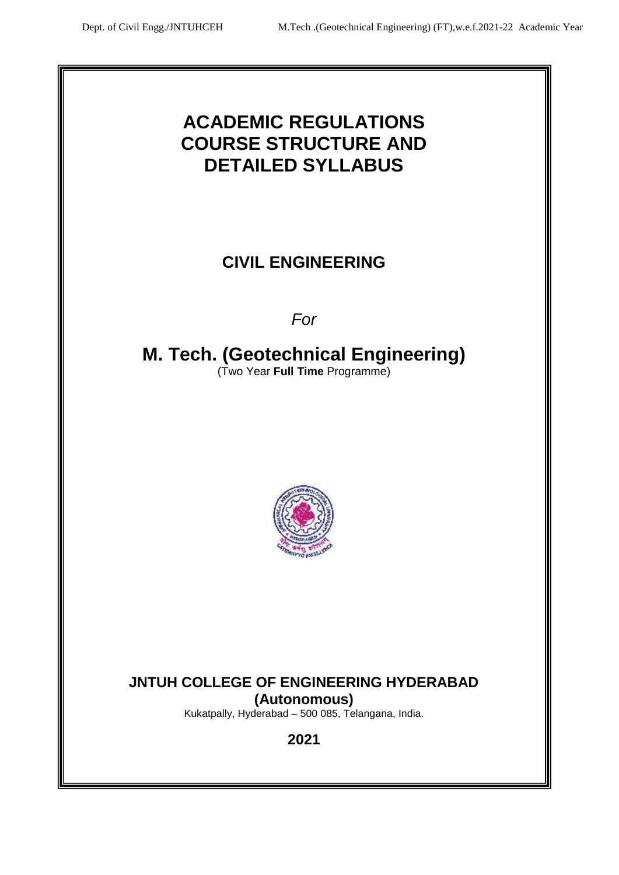# **ACADEMIC REGULATIONS COURSE STRUCTURE AND DETAILED SYLLABUS**

# **CIVIL ENGINEERING**

*For*

# **M. Tech. (Geotechnical Engineering)** (Two Year **Full Time** Programme)



# **JNTUH COLLEGE OF ENGINEERING HYDERABAD (Autonomous)**

Kukatpally, Hyderabad – 500 085, Telangana, India.

**2021**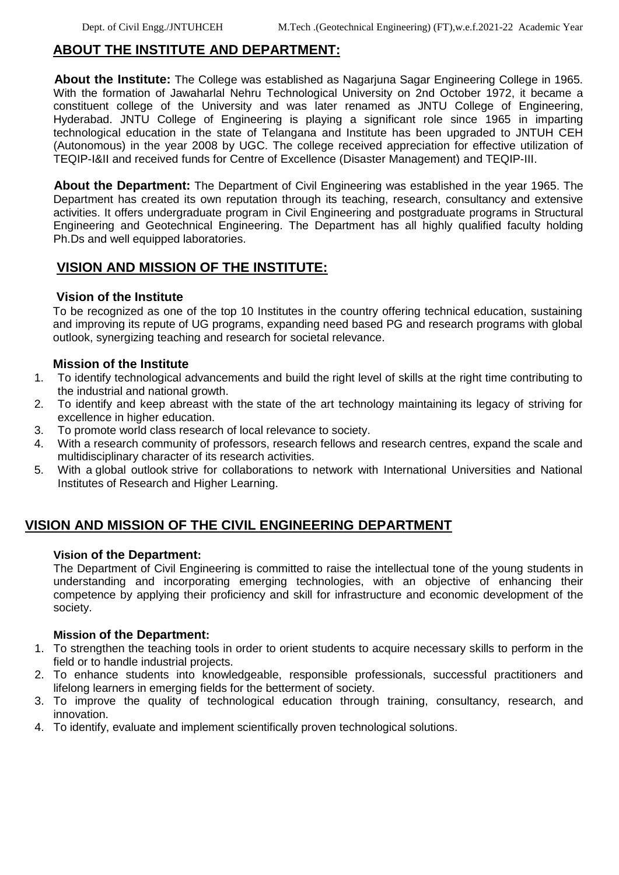## **ABOUT THE INSTITUTE AND DEPARTMENT:**

**About the Institute:** The College was established as Nagarjuna Sagar Engineering College in 1965. With the formation of Jawaharlal Nehru Technological University on 2nd October 1972, it became a constituent college of the University and was later renamed as JNTU College of Engineering, Hyderabad. JNTU College of Engineering is playing a significant role since 1965 in imparting technological education in the state of Telangana and Institute has been upgraded to JNTUH CEH (Autonomous) in the year 2008 by UGC. The college received appreciation for effective utilization of TEQIP-I&II and received funds for Centre of Excellence (Disaster Management) and TEQIP-III.

**About the Department:** The Department of Civil Engineering was established in the year 1965. The Department has created its own reputation through its teaching, research, consultancy and extensive activities. It offers undergraduate program in Civil Engineering and postgraduate programs in Structural Engineering and Geotechnical Engineering. The Department has all highly qualified faculty holding Ph.Ds and well equipped laboratories.

## **VISION AND MISSION OF THE INSTITUTE:**

#### **Vision of the Institute**

To be recognized as one of the top 10 Institutes in the country offering technical education, sustaining and improving its repute of UG programs, expanding need based PG and research programs with global outlook, synergizing teaching and research for societal relevance.

#### **Mission of the Institute**

- 1. To identify technological advancements and build the right level of skills at the right time contributing to the industrial and national growth.
- 2. To identify and keep abreast with the state of the art technology maintaining its legacy of striving for excellence in higher education.
- 3. To promote world class research of local relevance to society.
- 4. With a research community of professors, research fellows and research centres, expand the scale and multidisciplinary character of its research activities.
- 5. With a global outlook strive for collaborations to network with International Universities and National Institutes of Research and Higher Learning.

## **VISION AND MISSION OF THE CIVIL ENGINEERING DEPARTMENT**

#### **Vision of the Department:**

The Department of Civil Engineering is committed to raise the intellectual tone of the young students in understanding and incorporating emerging technologies, with an objective of enhancing their competence by applying their proficiency and skill for infrastructure and economic development of the society.

#### **Mission of the Department:**

- 1. To strengthen the teaching tools in order to orient students to acquire necessary skills to perform in the field or to handle industrial projects.
- 2. To enhance students into knowledgeable, responsible professionals, successful practitioners and lifelong learners in emerging fields for the betterment of society.
- 3. To improve the quality of technological education through training, consultancy, research, and innovation.
- 4. To identify, evaluate and implement scientifically proven technological solutions.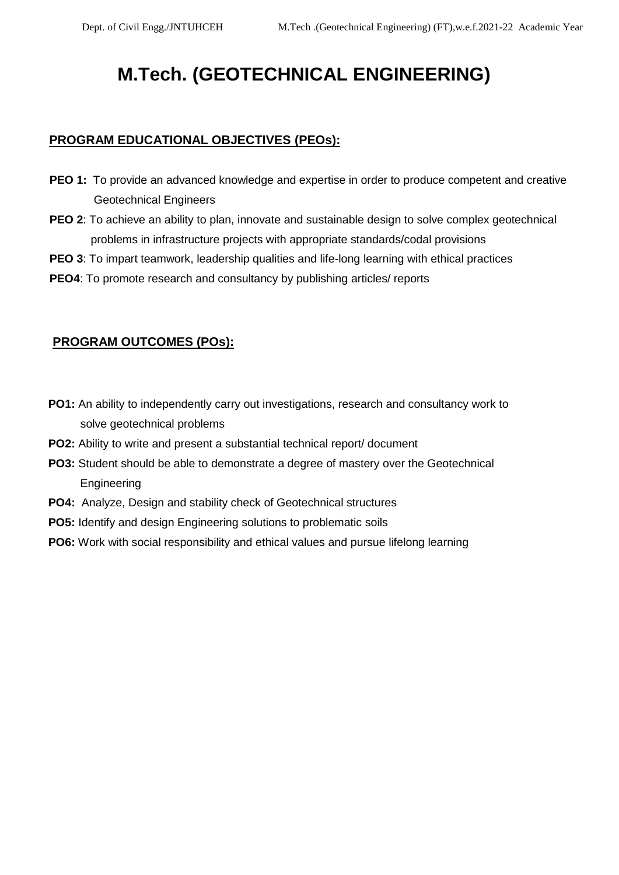# **M.Tech. (GEOTECHNICAL ENGINEERING)**

### **PROGRAM EDUCATIONAL OBJECTIVES (PEOs):**

- **PEO 1:** To provide an advanced knowledge and expertise in order to produce competent and creative Geotechnical Engineers
- **PEO 2**: To achieve an ability to plan, innovate and sustainable design to solve complex geotechnical problems in infrastructure projects with appropriate standards/codal provisions
- **PEO 3**: To impart teamwork, leadership qualities and life-long learning with ethical practices
- **PEO4**: To promote research and consultancy by publishing articles/ reports

### **PROGRAM OUTCOMES (POs):**

- **PO1:** An ability to independently carry out investigations, research and consultancy work to solve geotechnical problems
- **PO2:** Ability to write and present a substantial technical report/ document
- **PO3:** Student should be able to demonstrate a degree of mastery over the Geotechnical Engineering
- **PO4:** Analyze, Design and stability check of Geotechnical structures
- **PO5:** Identify and design Engineering solutions to problematic soils
- **PO6:** Work with social responsibility and ethical values and pursue lifelong learning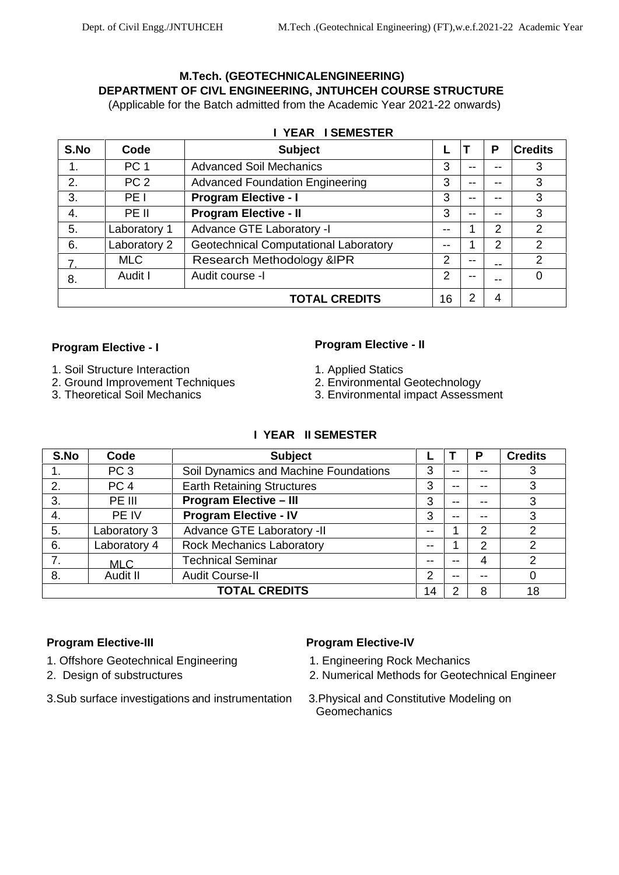## **M.Tech. (GEOTECHNICALENGINEERING) DEPARTMENT OF CIVL ENGINEERING, JNTUHCEH COURSE STRUCTURE**

(Applicable for the Batch admitted from the Academic Year 2021-22 onwards)

| <b>YEAR ISEMESTER</b> |                 |                                        |    |    |       |                |  |
|-----------------------|-----------------|----------------------------------------|----|----|-------|----------------|--|
| S.No                  | Code            | <b>Subject</b>                         |    |    | P     | <b>Credits</b> |  |
| 1.                    | PC <sub>1</sub> | <b>Advanced Soil Mechanics</b>         | 3  | -- | --    | 3              |  |
| 2.                    | PC <sub>2</sub> | <b>Advanced Foundation Engineering</b> | 3  | -- | $- -$ | 3              |  |
| 3.                    | PE I            | <b>Program Elective - I</b>            | 3  |    |       | 3              |  |
| 4.                    | PE II           | <b>Program Elective - II</b>           | 3  | -- | --    | 3              |  |
| 5.                    | Laboratory 1    | Advance GTE Laboratory -I              | -- |    | 2     | $\mathcal{P}$  |  |
| 6.                    | Laboratory 2    | Geotechnical Computational Laboratory  | -- |    | 2     | 2              |  |
| 7.                    | <b>MLC</b>      | Research Methodology & IPR             | 2  | -- | $-$   | 2              |  |
| 8.                    | Audit I         | Audit course -I                        | 2  | -- |       | 0              |  |
|                       |                 | <b>TOTAL CREDITS</b>                   | 16 | າ  | 4     |                |  |

- 
- 1. Soil Structure Interaction<br>
2. Ground Improvement Techniques<br>
2. Environmental Geotechnology 2. Ground Improvement Techniques<br>3. Theoretical Soil Mechanics
- 

## **Program Elective - I Program Elective - II**

- 
- 
- 3. Environmental impact Assessment

|  | I YEAR II SEMESTER |
|--|--------------------|
|  |                    |

| S.No | Code            | <b>Subject</b>                        |       |                          | Р  | <b>Credits</b> |
|------|-----------------|---------------------------------------|-------|--------------------------|----|----------------|
|      | PC <sub>3</sub> | Soil Dynamics and Machine Foundations | 3     | --                       | -- | 3              |
| 2.   | PC <sub>4</sub> | <b>Earth Retaining Structures</b>     | 3     | $- -$                    | -- | 3              |
| 3.   | PE III          | <b>Program Elective - III</b>         | 3     | --                       | -- | 3              |
| 4.   | PE IV           | <b>Program Elective - IV</b>          | 3     | $-$                      | -- | 3              |
| 5.   | Laboratory 3    | Advance GTE Laboratory -II            | --    |                          | 2  | っ              |
| 6.   | Laboratory 4    | <b>Rock Mechanics Laboratory</b>      | --    |                          | 2  | າ              |
| 7.   | <b>MLC</b>      | <b>Technical Seminar</b>              | $- -$ | --                       | 4  | 2              |
| 8.   | Audit II        | <b>Audit Course-II</b>                | 2     | $\overline{\phantom{m}}$ | -- | 0              |
|      |                 | <b>TOTAL CREDITS</b>                  | 14    | 2                        | 8  | 18             |

- 1. Offshore Geotechnical Engineering 1. Engineering Rock Mechanics
- 
- 3. Sub surface investigations and instrumentation 3. Physical and Constitutive Modeling on

#### **Program Elective-III Program Elective-IV**

- 
- 2. Design of substructures 2. Numerical Methods for Geotechnical Engineer
	- Geomechanics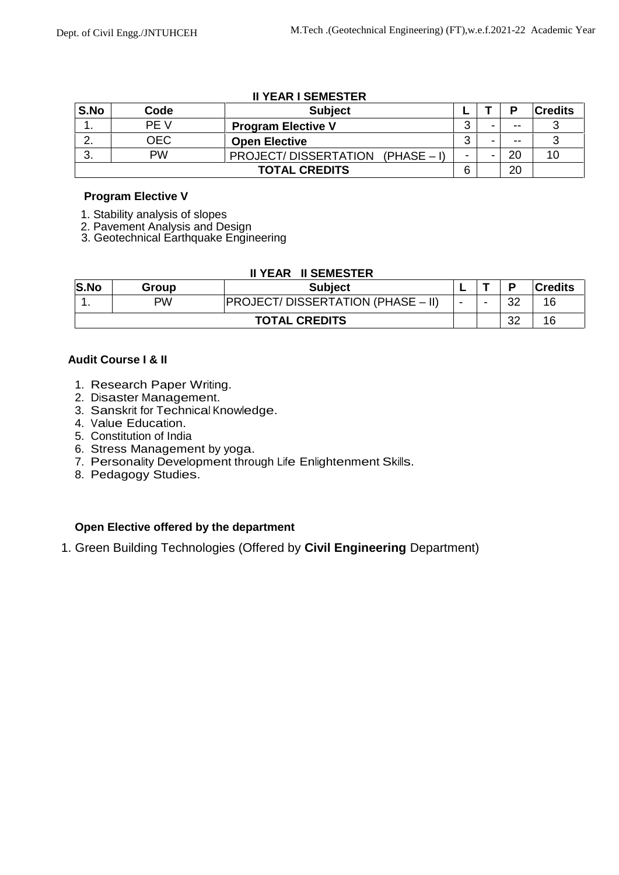|      |      | "" " """" " """""""" """         |   |   |       |                |
|------|------|----------------------------------|---|---|-------|----------------|
| S.No | Code | <b>Subject</b>                   |   |   | D     | <b>Credits</b> |
| . .  | PE V | <b>Program Elective V</b>        | ⌒ | - | $- -$ |                |
|      | OEC  | <b>Open Elective</b>             | ⌒ | - | $- -$ |                |
| J.   | PW   | PROJECT/DISSERTATION (PHASE – I) |   |   | 20    | 10             |
|      |      | <b>TOTAL CREDITS</b>             | 6 |   | 20    |                |

#### **II YEAR I SEMESTER**

#### **Program Elective V**

- 1. Stability analysis of slopes
- 2. Pavement Analysis and Design
- 3. Geotechnical Earthquake Engineering

#### **II YEAR II SEMESTER**

| S.No | Group | <b>Subject</b>                           |                          |      | D        | <b>Credits</b> |  |
|------|-------|------------------------------------------|--------------------------|------|----------|----------------|--|
|      | PW    | <b>PROJECT/DISSERTATION (PHASE – II)</b> | $\overline{\phantom{a}}$ | $\,$ | າາ<br>ےں | 16             |  |
|      |       | <b>TOTAL CREDITS</b>                     |                          |      | 32       | 16             |  |

#### **Audit Course I & II**

- 1. Research Paper Writing. 2. Disaster Management.
- 
- 3. Sanskrit for Technical Knowledge.
- 4. Value Education.
- 5. Constitution of India
- 6. Stress Management by yoga.
- 7. Personality Development through Life Enlightenment Skills.
- 8. Pedagogy Studies.

#### **Open Elective offered by the department**

1. Green Building Technologies (Offered by **Civil Engineering** Department)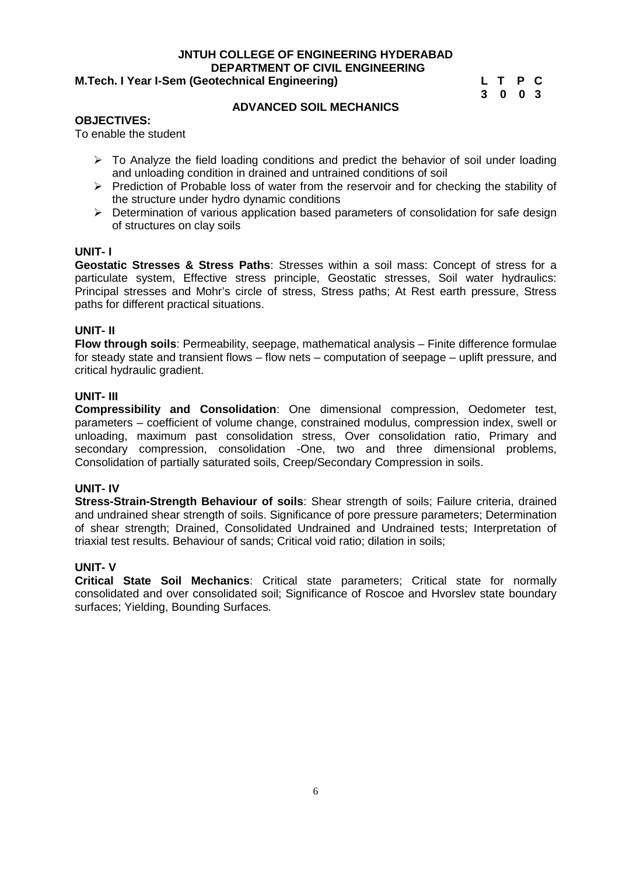#### **M.Tech. I Year I-Sem (Geotechnical Engineering)**

**3 0 0 3**

#### **ADVANCED SOIL MECHANICS**

#### **OBJECTIVES:**

To enable the student

- $\triangleright$  To Analyze the field loading conditions and predict the behavior of soil under loading and unloading condition in drained and untrained conditions of soil
- $\triangleright$  Prediction of Probable loss of water from the reservoir and for checking the stability of the structure under hydro dynamic conditions
- $\triangleright$  Determination of various application based parameters of consolidation for safe design of structures on clay soils

#### **UNIT- I**

**Geostatic Stresses & Stress Paths**: Stresses within a soil mass: Concept of stress for a particulate system, Effective stress principle, Geostatic stresses, Soil water hydraulics: Principal stresses and Mohr's circle of stress, Stress paths; At Rest earth pressure, Stress paths for different practical situations.

#### **UNIT- II**

**Flow through soils**: Permeability, seepage, mathematical analysis – Finite difference formulae for steady state and transient flows – flow nets – computation of seepage – uplift pressure, and critical hydraulic gradient.

#### **UNIT- III**

**Compressibility and Consolidation**: One dimensional compression, Oedometer test, parameters – coefficient of volume change, constrained modulus, compression index, swell or unloading, maximum past consolidation stress, Over consolidation ratio, Primary and secondary compression, consolidation -One, two and three dimensional problems, Consolidation of partially saturated soils, Creep/Secondary Compression in soils.

#### **UNIT- IV**

**Stress-Strain-Strength Behaviour of soils**: Shear strength of soils; Failure criteria, drained and undrained shear strength of soils. Significance of pore pressure parameters; Determination of shear strength; Drained, Consolidated Undrained and Undrained tests; Interpretation of triaxial test results. Behaviour of sands; Critical void ratio; dilation in soils;

#### **UNIT- V**

**Critical State Soil Mechanics**: Critical state parameters; Critical state for normally consolidated and over consolidated soil; Significance of Roscoe and Hvorslev state boundary surfaces; Yielding, Bounding Surfaces.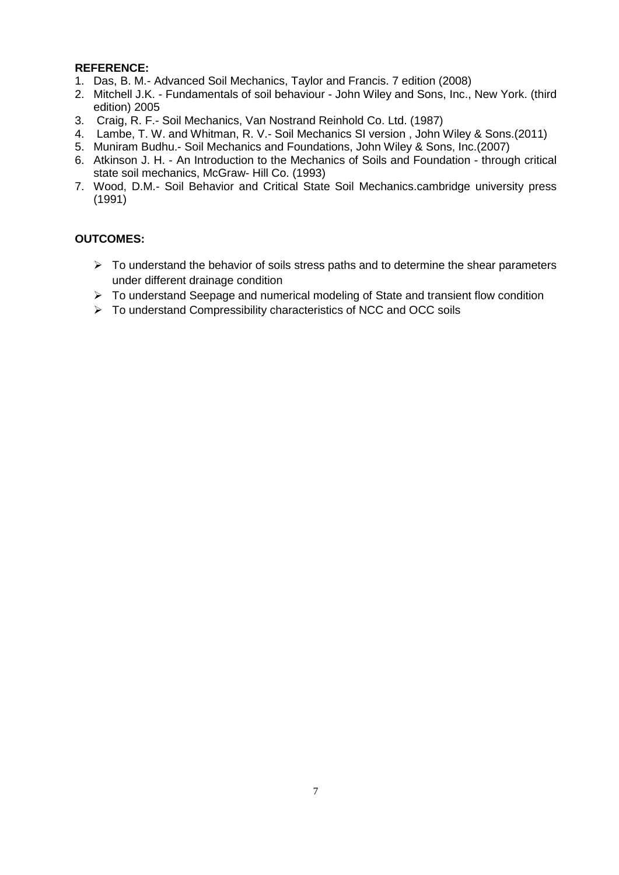- 1. Das, B. M.- Advanced Soil Mechanics, Taylor and Francis. 7 edition (2008)
- 2. Mitchell J.K. Fundamentals of soil behaviour John Wiley and Sons, Inc., New York. (third edition) 2005
- 3. Craig, R. F.- Soil Mechanics, Van Nostrand Reinhold Co. Ltd. (1987)
- 4. Lambe, T. W. and Whitman, R. V.- Soil Mechanics SI version , John Wiley & Sons.(2011)
- 5. Muniram Budhu.- Soil Mechanics and Foundations, John Wiley & Sons, Inc.(2007)
- 6. Atkinson J. H. An Introduction to the Mechanics of Soils and Foundation through critical state soil mechanics, McGraw- Hill Co. (1993)
- 7. Wood, D.M.- Soil Behavior and Critical State Soil Mechanics.cambridge university press (1991)

- $\triangleright$  To understand the behavior of soils stress paths and to determine the shear parameters under different drainage condition
- $\triangleright$  To understand Seepage and numerical modeling of State and transient flow condition
- $\triangleright$  To understand Compressibility characteristics of NCC and OCC soils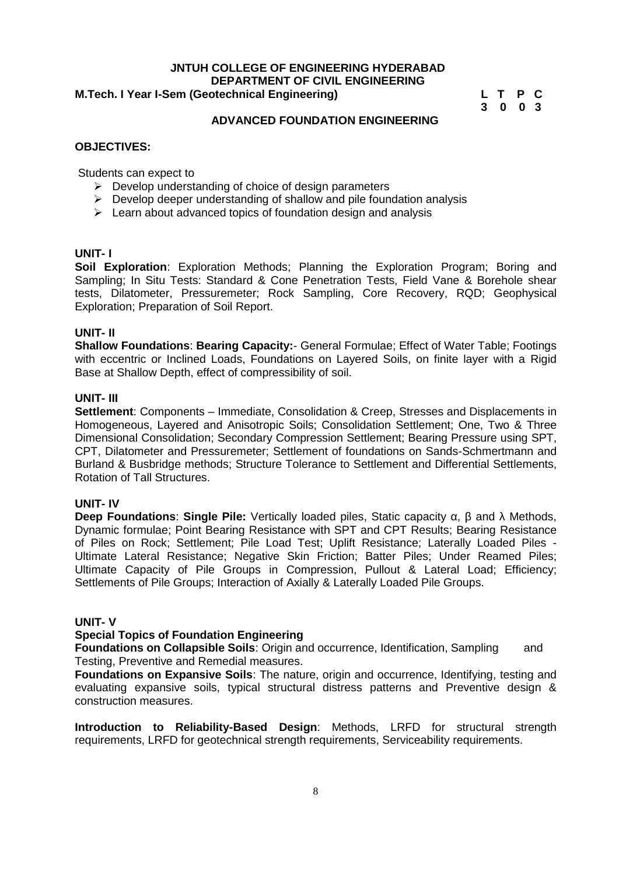#### **JNTUH COLLEGE OF ENGINEERING HYDERABAD DEPARTMENT OF CIVIL ENGINEERING**<br>otechnical Engineering) L T P C **M.Tech. I Year I-Sem (Geotechnical Engineering)**

**3 0 0 3**

#### **OBJECTIVES:**

Students can expect to

- $\triangleright$  Develop understanding of choice of design parameters
- $\triangleright$  Develop deeper understanding of shallow and pile foundation analysis
- $\triangleright$  Learn about advanced topics of foundation design and analysis

#### **UNIT- I**

**Soil Exploration**: Exploration Methods; Planning the Exploration Program; Boring and Sampling; In Situ Tests: Standard & Cone Penetration Tests, Field Vane & Borehole shear tests, Dilatometer, Pressuremeter; Rock Sampling, Core Recovery, RQD; Geophysical Exploration; Preparation of Soil Report.

**ADVANCED FOUNDATION ENGINEERING**

#### **UNIT- II**

**Shallow Foundations**: **Bearing Capacity:**- General Formulae; Effect of Water Table; Footings with eccentric or Inclined Loads, Foundations on Layered Soils, on finite layer with a Rigid Base at Shallow Depth, effect of compressibility of soil.

#### **UNIT- III**

**Settlement**: Components – Immediate, Consolidation & Creep, Stresses and Displacements in Homogeneous, Layered and Anisotropic Soils; Consolidation Settlement; One, Two & Three Dimensional Consolidation; Secondary Compression Settlement; Bearing Pressure using SPT, CPT, Dilatometer and Pressuremeter; Settlement of foundations on Sands-Schmertmann and Burland & Busbridge methods; Structure Tolerance to Settlement and Differential Settlements, Rotation of Tall Structures.

#### **UNIT- IV**

**Deep Foundations: Single Pile:** Vertically loaded piles, Static capacity and Methods, Dynamic formulae; Point Bearing Resistance with SPT and CPT Results; Bearing Resistance of Piles on Rock; Settlement; Pile Load Test; Uplift Resistance; Laterally Loaded Piles - Ultimate Lateral Resistance; Negative Skin Friction; Batter Piles; Under Reamed Piles; Ultimate Capacity of Pile Groups in Compression, Pullout & Lateral Load; Efficiency; Settlements of Pile Groups; Interaction of Axially & Laterally Loaded Pile Groups.

#### **UNIT- V**

#### **Special Topics of Foundation Engineering**

**Foundations on Collapsible Soils**: Origin and occurrence, Identification, Sampling and Testing, Preventive and Remedial measures.

**Foundations on Expansive Soils**: The nature, origin and occurrence, Identifying, testing and evaluating expansive soils, typical structural distress patterns and Preventive design & construction measures.

**Introduction to Reliability-Based Design**: Methods, LRFD for structural strength requirements, LRFD for geotechnical strength requirements, Serviceability requirements.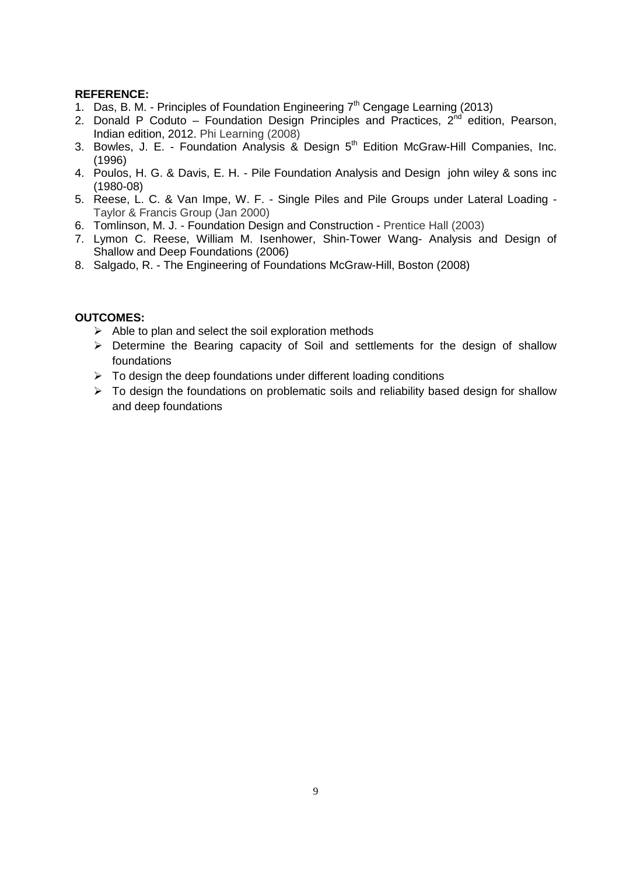- 1. Das, B. M. Principles of Foundation Engineering  $7<sup>th</sup>$  Cengage Learning (2013)
- 2. Donald P Coduto Foundation Design Principles and Practices,  $2^{nd}$  edition, Pearson, Indian edition, 2012. Phi Learning (2008)
- 3. Bowles, J. E. Foundation Analysis & Design 5<sup>th</sup> Edition McGraw-Hill Companies, Inc. (1996)
- 4. Poulos, H. G. & Davis, E. H. Pile Foundation Analysis and Design john wiley & sons inc (1980-08)
- 5. Reese, L. C. & Van Impe, W. F. Single Piles and Pile Groups under Lateral Loading Taylor & Francis Group (Jan 2000)
- 6. Tomlinson, M. J. Foundation Design and Construction Prentice Hall (2003)
- 7. Lymon C. Reese, William M. Isenhower, Shin-Tower Wang- Analysis and Design of Shallow and Deep Foundations (2006)
- 8. Salgado, R. The Engineering of Foundations McGraw-Hill, Boston (2008)

- $\triangleright$  Able to plan and select the soil exploration methods
- $\triangleright$  Determine the Bearing capacity of Soil and settlements for the design of shallow foundations
- $\triangleright$  To design the deep foundations under different loading conditions
- $\triangleright$  To design the foundations on problematic soils and reliability based design for shallow and deep foundations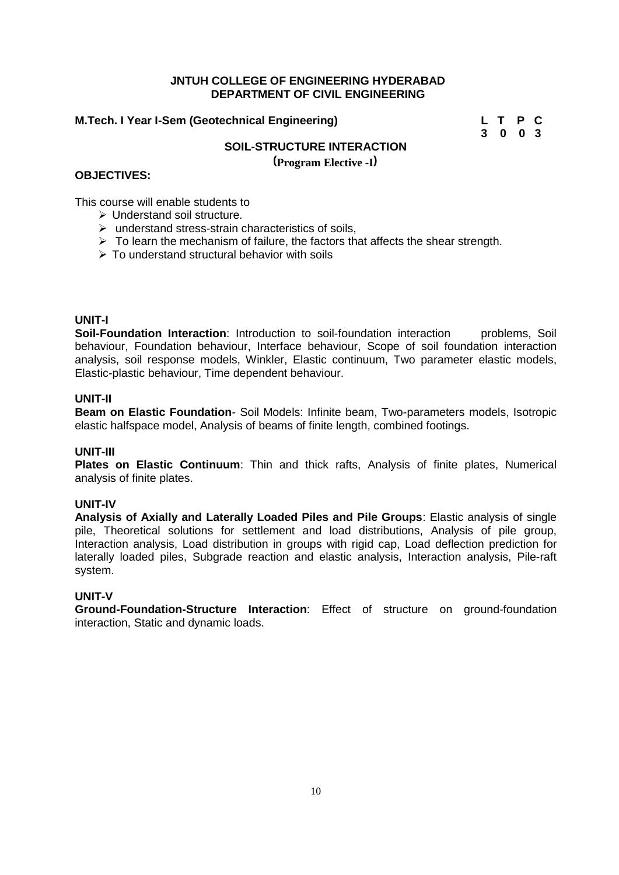#### **M.Tech. I Year I-Sem (Geotechnical Engineering) L T P C**

**3 0 0 3**

#### **SOIL-STRUCTURE INTERACTION**

**(Program Elective -I )**

#### **OBJECTIVES:**

This course will enable students to

- $\triangleright$  Understand soil structure.
- $\triangleright$  understand stress-strain characteristics of soils,
- $\triangleright$  To learn the mechanism of failure, the factors that affects the shear strength.
- $\triangleright$  To understand structural behavior with soils

#### **UNIT-I**

**Soil-Foundation Interaction**: Introduction to soil-foundation interaction problems, Soil behaviour, Foundation behaviour, Interface behaviour, Scope of soil foundation interaction analysis, soil response models, Winkler, Elastic continuum, Two parameter elastic models, Elastic-plastic behaviour, Time dependent behaviour.

#### **UNIT-II**

**Beam on Elastic Foundation**- Soil Models: Infinite beam, Two-parameters models, Isotropic elastic halfspace model, Analysis of beams of finite length, combined footings.

#### **UNIT-III**

**Plates on Elastic Continuum**: Thin and thick rafts, Analysis of finite plates, Numerical analysis of finite plates.

#### **UNIT-IV**

**Analysis of Axially and Laterally Loaded Piles and Pile Groups**: Elastic analysis of single pile, Theoretical solutions for settlement and load distributions, Analysis of pile group, Interaction analysis, Load distribution in groups with rigid cap, Load deflection prediction for laterally loaded piles, Subgrade reaction and elastic analysis, Interaction analysis, Pile-raft system.

#### **UNIT-V**

**Ground-Foundation-Structure Interaction**: Effect of structure on ground-foundation interaction, Static and dynamic loads.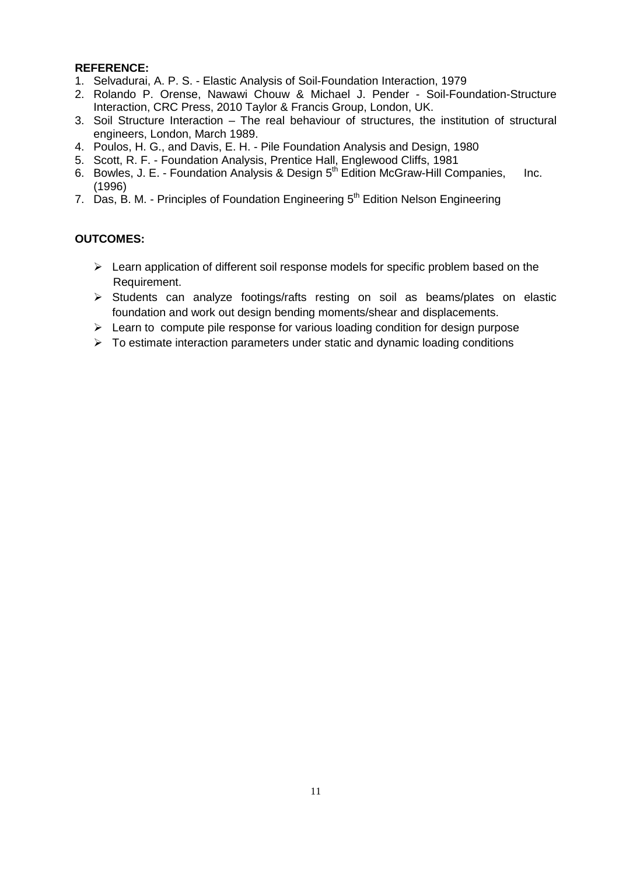- 1. Selvadurai, A. P. S. Elastic Analysis of Soil-Foundation Interaction, 1979
- 2. Rolando P. Orense, Nawawi Chouw & Michael J. Pender Soil-Foundation-Structure Interaction, CRC Press, 2010 Taylor & Francis Group, London, UK.
- 3. Soil Structure Interaction The real behaviour of structures, the institution of structural engineers, London, March 1989.
- 4. Poulos, H. G., and Davis, E. H. Pile Foundation Analysis and Design, 1980
- 5. Scott, R. F. Foundation Analysis, Prentice Hall, Englewood Cliffs, 1981
- 6. Bowles, J. E. Foundation Analysis & Design 5<sup>th</sup> Edition McGraw-Hill Companies, Inc. (1996)
- 7. Das, B. M. Principles of Foundation Engineering  $5<sup>th</sup>$  Edition Nelson Engineering

- $\triangleright$  Learn application of different soil response models for specific problem based on the Requirement.
- $\triangleright$  Students can analyze footings/rafts resting on soil as beams/plates on elastic foundation and work out design bending moments/shear and displacements.
- $\triangleright$  Learn to compute pile response for various loading condition for design purpose
- $\triangleright$  To estimate interaction parameters under static and dynamic loading conditions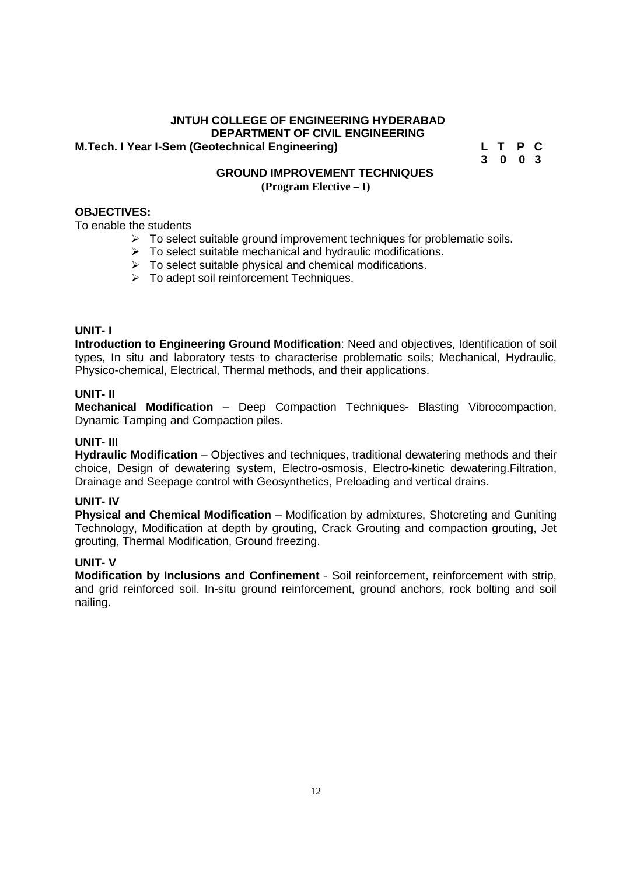#### **JNTUH COLLEGE OF ENGINEERING HYDERABAD DEPARTMENT OF CIVIL ENGINEERING M.Tech. I Year I-Sem (Geotechnical Engineering)**

**3 0 0 3**

#### **GROUND IMPROVEMENT TECHNIQUES (Program Elective – I)**

#### **OBJECTIVES:**

To enable the students

- $\triangleright$  To select suitable ground improvement techniques for problematic soils.
- $\triangleright$  To select suitable mechanical and hydraulic modifications.
- $\triangleright$  To select suitable physical and chemical modifications.
- $\triangleright$  To adept soil reinforcement Techniques.

#### **UNIT- I**

**Introduction to Engineering Ground Modification**: Need and objectives, Identification of soil types, In situ and laboratory tests to characterise problematic soils; Mechanical, Hydraulic, Physico-chemical, Electrical, Thermal methods, and their applications.

#### **UNIT- II**

**Mechanical Modification** – Deep Compaction Techniques- Blasting Vibrocompaction, Dynamic Tamping and Compaction piles.

#### **UNIT- III**

**Hydraulic Modification** – Objectives and techniques, traditional dewatering methods and their choice, Design of dewatering system, Electro-osmosis, Electro-kinetic dewatering.Filtration, Drainage and Seepage control with Geosynthetics, Preloading and vertical drains.

#### **UNIT- IV**

**Physical and Chemical Modification** – Modification by admixtures, Shotcreting and Guniting Technology, Modification at depth by grouting, Crack Grouting and compaction grouting, Jet grouting, Thermal Modification, Ground freezing.

#### **UNIT- V**

**Modification by Inclusions and Confinement** - Soil reinforcement, reinforcement with strip, and grid reinforced soil. In-situ ground reinforcement, ground anchors, rock bolting and soil nailing.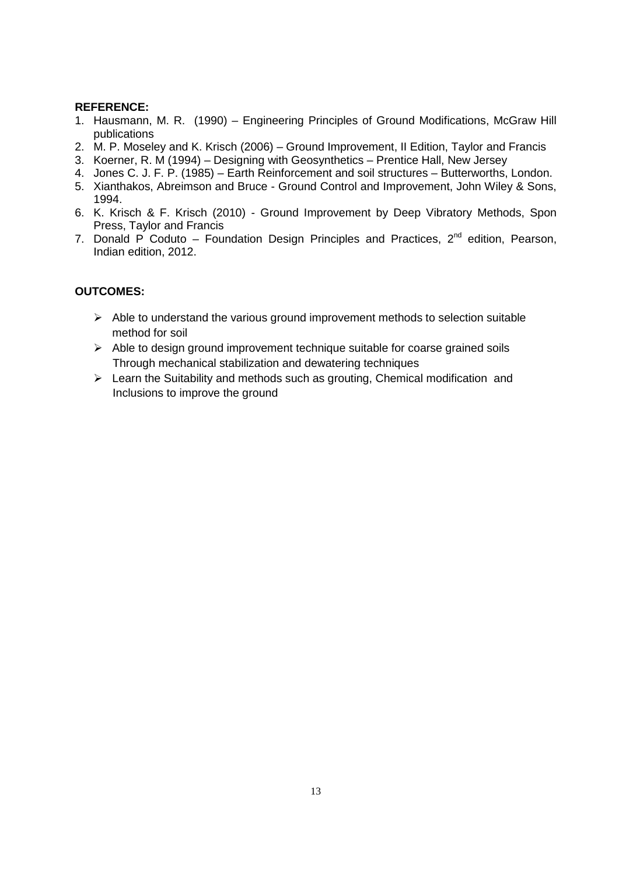- 1. Hausmann, M. R. (1990) Engineering Principles of Ground Modifications, McGraw Hill publications
- 2. M. P. Moseley and K. Krisch (2006) Ground Improvement, II Edition, Taylor and Francis
- 3. Koerner, R. M (1994) Designing with Geosynthetics Prentice Hall, New Jersey
- 4. Jones C. J. F. P. (1985) Earth Reinforcement and soil structures Butterworths, London.
- 5. Xianthakos, Abreimson and Bruce Ground Control and Improvement, John Wiley & Sons, 1994.
- 6. K. Krisch & F. Krisch (2010) Ground Improvement by Deep Vibratory Methods, Spon Press, Taylor and Francis
- 7. Donald P Coduto Foundation Design Principles and Practices,  $2^{nd}$  edition, Pearson, Indian edition, 2012.

- $\triangleright$  Able to understand the various ground improvement methods to selection suitable method for soil
- $\triangleright$  Able to design ground improvement technique suitable for coarse grained soils Through mechanical stabilization and dewatering techniques
- $\triangleright$  Learn the Suitability and methods such as grouting, Chemical modification and Inclusions to improve the ground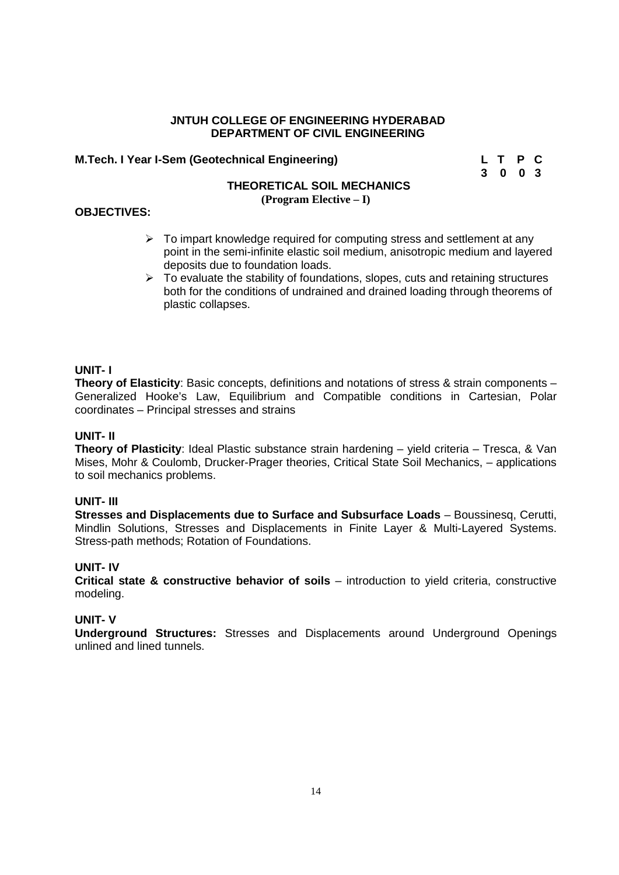#### **M.Tech. I Year I-Sem (Geotechnical Engineering) L T P C**

**3 0 0 3**

#### **THEORETICAL SOIL MECHANICS (Program Elective – I)**

#### **OBJECTIVES:**

- $\triangleright$  To impart knowledge required for computing stress and settlement at any point in the semi-infinite elastic soil medium, anisotropic medium and layered deposits due to foundation loads.
- $\triangleright$  To evaluate the stability of foundations, slopes, cuts and retaining structures both for the conditions of undrained and drained loading through theorems of plastic collapses.

#### **UNIT- I**

**Theory of Elasticity**: Basic concepts, definitions and notations of stress & strain components – Generalized Hooke's Law, Equilibrium and Compatible conditions in Cartesian, Polar coordinates – Principal stresses and strains

#### **UNIT- II**

**Theory of Plasticity**: Ideal Plastic substance strain hardening – yield criteria – Tresca, & Van Mises, Mohr & Coulomb, Drucker-Prager theories, Critical State Soil Mechanics, – applications to soil mechanics problems.

#### **UNIT- III**

**Stresses and Displacements due to Surface and Subsurface Loads** – Boussinesq, Cerutti, Mindlin Solutions, Stresses and Displacements in Finite Layer & Multi-Layered Systems. Stress-path methods; Rotation of Foundations.

#### **UNIT- IV**

**Critical state & constructive behavior of soils** – introduction to yield criteria, constructive modeling.

#### **UNIT- V**

**Underground Structures:** Stresses and Displacements around Underground Openings unlined and lined tunnels.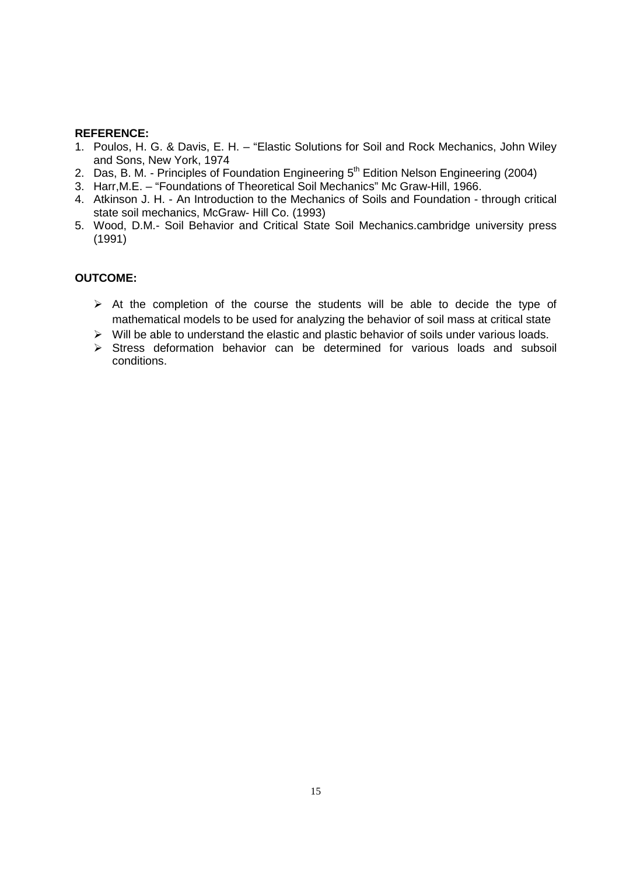- 1. Poulos, H. G. & Davis, E. H. "Elastic Solutions for Soil and Rock Mechanics, John Wiley and Sons, New York, 1974
- 2. Das, B. M. Principles of Foundation Engineering  $5<sup>th</sup>$  Edition Nelson Engineering (2004)
- 3. Harr,M.E. "Foundations of Theoretical Soil Mechanics" Mc Graw-Hill, 1966.
- 4. Atkinson J. H. An Introduction to the Mechanics of Soils and Foundation through critical state soil mechanics, McGraw- Hill Co. (1993)
- 5. Wood, D.M.- Soil Behavior and Critical State Soil Mechanics.cambridge university press (1991)

- $\triangleright$  At the completion of the course the students will be able to decide the type of mathematical models to be used for analyzing the behavior of soil mass at critical state
- $\triangleright$  Will be able to understand the elastic and plastic behavior of soils under various loads.
- $\triangleright$  Stress deformation behavior can be determined for various loads and subsoil conditions.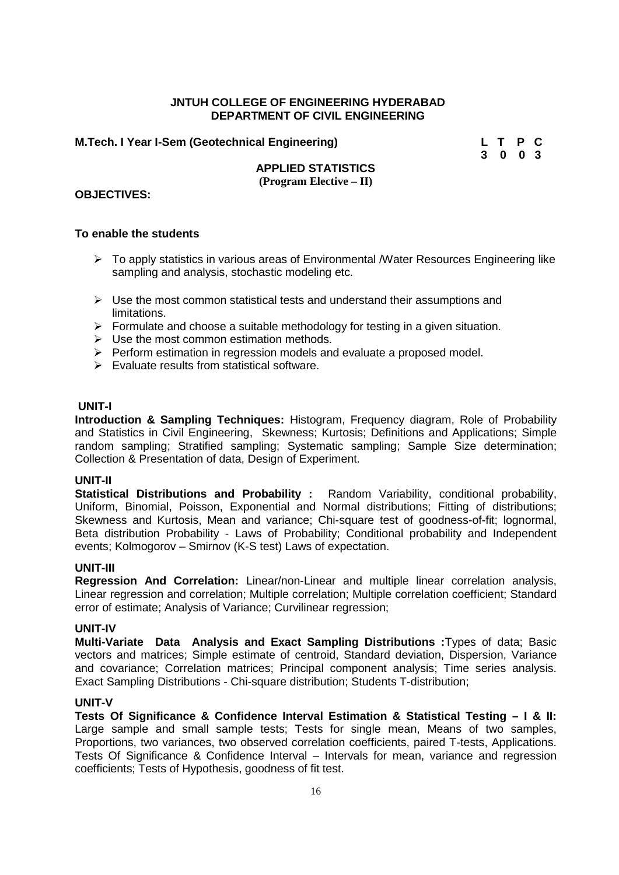#### **M.Tech. I Year I-Sem (Geotechnical Engineering) L T P C**

**3 0 0 3**

#### **APPLIED STATISTICS (Program Elective – II)**

#### **OBJECTIVES:**

#### **To enable the students**

- $\triangleright$  To apply statistics in various areas of Environmental *Mater Resources Engineering like* sampling and analysis, stochastic modeling etc.
- $\triangleright$  Use the most common statistical tests and understand their assumptions and limitations.
- $\triangleright$  Formulate and choose a suitable methodology for testing in a given situation.
- $\triangleright$  Use the most common estimation methods.
- $\triangleright$  Perform estimation in regression models and evaluate a proposed model.
- $\triangleright$  Evaluate results from statistical software.

#### **UNIT-I**

**Introduction & Sampling Techniques:** Histogram, Frequency diagram, Role of Probability and Statistics in Civil Engineering, Skewness; Kurtosis; Definitions and Applications; Simple random sampling; Stratified sampling; Systematic sampling; Sample Size determination; Collection & Presentation of data, Design of Experiment.

#### **UNIT-II**

**Statistical Distributions and Probability :** Random Variability, conditional probability, Uniform, Binomial, Poisson, Exponential and Normal distributions; Fitting of distributions; Skewness and Kurtosis, Mean and variance; Chi-square test of goodness-of-fit; lognormal, Beta distribution Probability - Laws of Probability; Conditional probability and Independent events; Kolmogorov – Smirnov (K-S test) Laws of expectation.

#### **UNIT-III**

**Regression And Correlation:** Linear/non-Linear and multiple linear correlation analysis, Linear regression and correlation; Multiple correlation; Multiple correlation coefficient; Standard error of estimate; Analysis of Variance; Curvilinear regression;

#### **UNIT-IV**

**Multi-Variate Data Analysis and Exact Sampling Distributions :**Types of data; Basic vectors and matrices; Simple estimate of centroid, Standard deviation, Dispersion, Variance and covariance; Correlation matrices; Principal component analysis; Time series analysis. Exact Sampling Distributions - Chi-square distribution; Students T-distribution;

#### **UNIT-V**

**Tests Of Significance & Confidence Interval Estimation & Statistical Testing – I & II:** Large sample and small sample tests; Tests for single mean, Means of two samples, Proportions, two variances, two observed correlation coefficients, paired T-tests, Applications. Tests Of Significance & Confidence Interval – Intervals for mean, variance and regression coefficients; Tests of Hypothesis, goodness of fit test.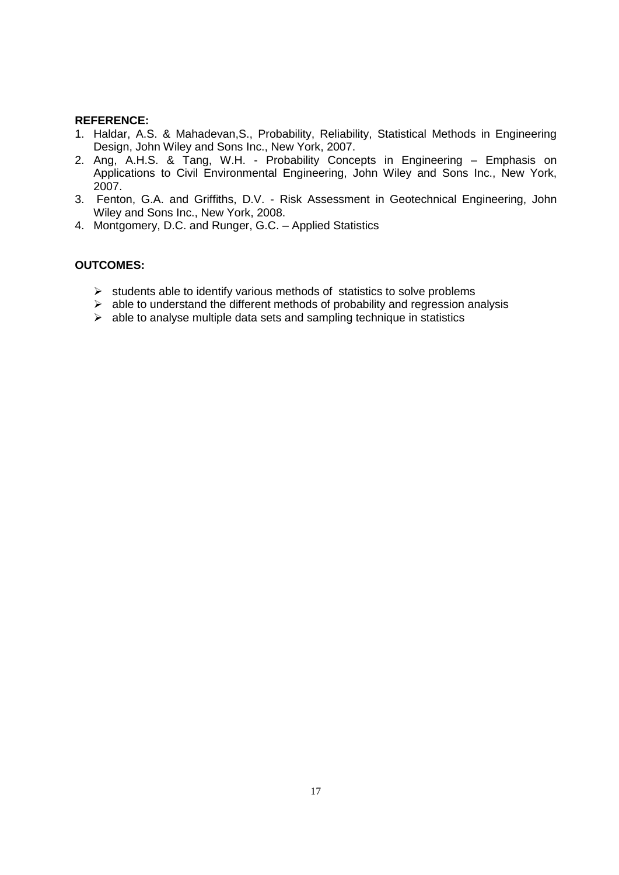- 1. Haldar, A.S. & Mahadevan,S., Probability, Reliability, Statistical Methods in Engineering Design, John Wiley and Sons Inc., New York, 2007.
- 2. Ang, A.H.S. & Tang, W.H. Probability Concepts in Engineering Emphasis on Applications to Civil Environmental Engineering, John Wiley and Sons Inc., New York, 2007.
- 3. Fenton, G.A. and Griffiths, D.V. Risk Assessment in Geotechnical Engineering, John Wiley and Sons Inc., New York, 2008.
- 4. Montgomery, D.C. and Runger, G.C. Applied Statistics

- $\triangleright$  students able to identify various methods of statistics to solve problems
- $\triangleright$  able to understand the different methods of probability and regression analysis
- $\triangleright$  able to analyse multiple data sets and sampling technique in statistics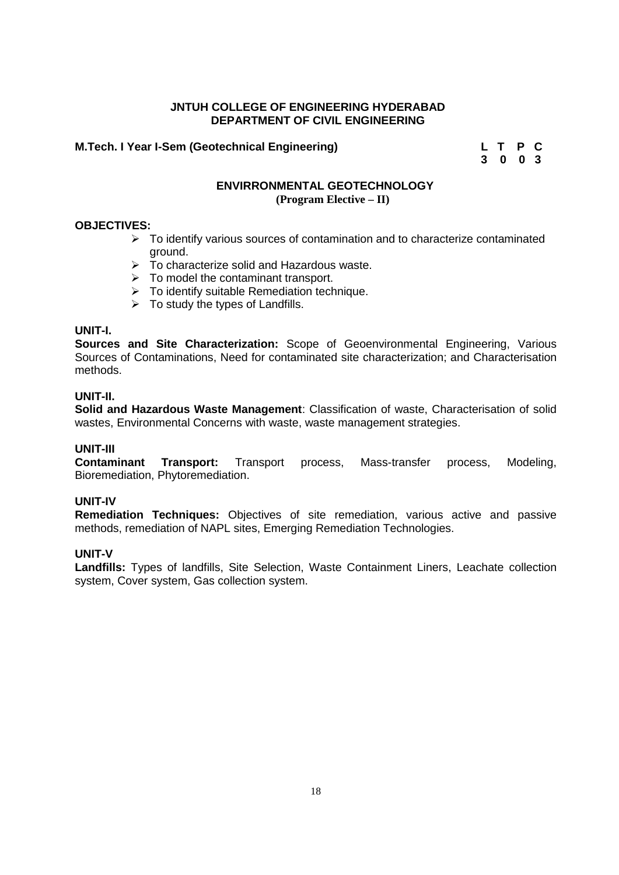#### **M.Tech. I Year I-Sem (Geotechnical Engineering) L T P C**

**3 0 0 3**

#### **ENVIRRONMENTAL GEOTECHNOLOGY (Program Elective – II)**

#### **OBJECTIVES:**

- $\triangleright$  To identify various sources of contamination and to characterize contaminated ground.
- $\triangleright$  To characterize solid and Hazardous waste.
- $\triangleright$  To model the contaminant transport.
- $\triangleright$  To identify suitable Remediation technique.
- $\triangleright$  To study the types of Landfills.

#### **UNIT-I.**

**Sources and Site Characterization:** Scope of Geoenvironmental Engineering, Various Sources of Contaminations, Need for contaminated site characterization; and Characterisation methods.

#### **UNIT-II.**

**Solid and Hazardous Waste Management**: Classification of waste, Characterisation of solid wastes, Environmental Concerns with waste, waste management strategies.

#### **UNIT-III**

**Contaminant Transport:** Transport process, Mass-transfer process, Modeling, Bioremediation, Phytoremediation.

#### **UNIT-IV**

**Remediation Techniques:** Objectives of site remediation, various active and passive methods, remediation of NAPL sites, Emerging Remediation Technologies.

#### **UNIT-V**

**Landfills:** Types of landfills, Site Selection, Waste Containment Liners, Leachate collection system, Cover system, Gas collection system.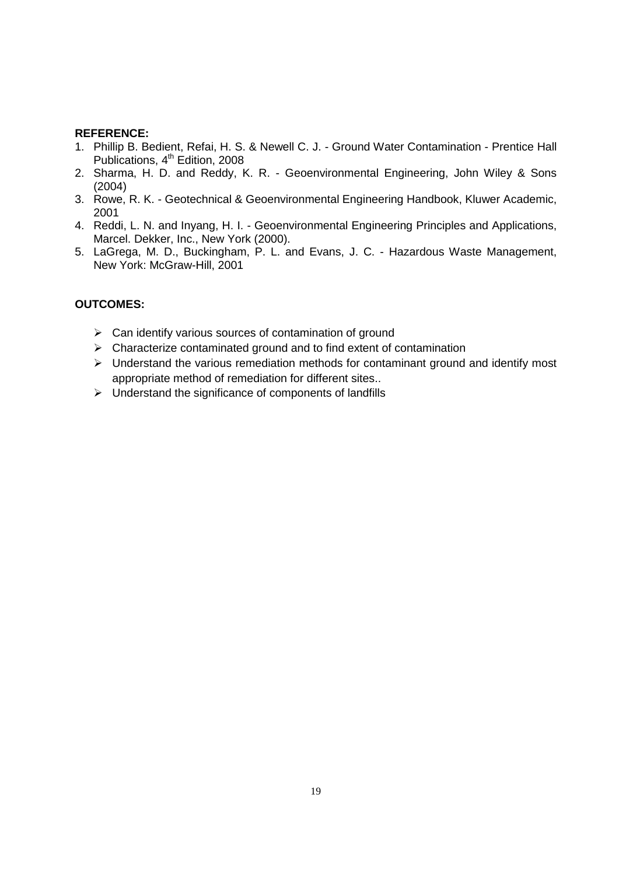- 1. Phillip B. Bedient, Refai, H. S. & Newell C. J. Ground Water Contamination Prentice Hall Publications, 4<sup>th</sup> Edition, 2008
- 2. Sharma, H. D. and Reddy, K. R. Geoenvironmental Engineering, John Wiley & Sons (2004)
- 3. Rowe, R. K. Geotechnical & Geoenvironmental Engineering Handbook, Kluwer Academic, 2001
- 4. Reddi, L. N. and Inyang, H. I. Geoenvironmental Engineering Principles and Applications, Marcel. Dekker, Inc., New York (2000).
- 5. LaGrega, M. D., Buckingham, P. L. and Evans, J. C. Hazardous Waste Management, New York: McGraw-Hill, 2001

- $\triangleright$  Can identify various sources of contamination of ground
- $\triangleright$  Characterize contaminated ground and to find extent of contamination
- Understand the various remediation methods for contaminant ground and identify most appropriate method of remediation for different sites..
- $\triangleright$  Understand the significance of components of landfills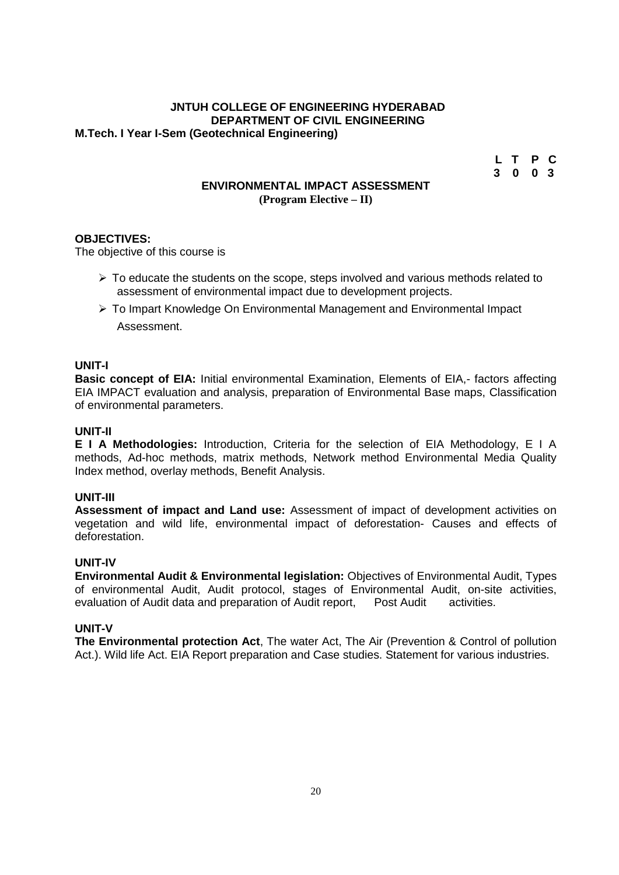#### **JNTUH COLLEGE OF ENGINEERING HYDERABAD DEPARTMENT OF CIVIL ENGINEERING M.Tech. I Year I-Sem (Geotechnical Engineering)**

| L T P C |  |  |
|---------|--|--|
| 3003    |  |  |

#### **ENVIRONMENTAL IMPACT ASSESSMENT (Program Elective – II)**

#### **OBJECTIVES:**

The objective of this course is

- $\triangleright$  To educate the students on the scope, steps involved and various methods related to assessment of environmental impact due to development projects.
- $\triangleright$  To Impart Knowledge On Environmental Management and Environmental Impact Assessment.

#### **UNIT-I**

**Basic concept of EIA:** Initial environmental Examination, Elements of EIA,- factors affecting EIA IMPACT evaluation and analysis, preparation of Environmental Base maps, Classification of environmental parameters.

#### **UNIT-II**

**E I A Methodologies:** Introduction, Criteria for the selection of EIA Methodology, E I A methods, Ad-hoc methods, matrix methods, Network method Environmental Media Quality Index method, overlay methods, Benefit Analysis.

#### **UNIT-III**

**Assessment of impact and Land use:** Assessment of impact of development activities on vegetation and wild life, environmental impact of deforestation- Causes and effects of deforestation.

#### **UNIT-IV**

**Environmental Audit & Environmental legislation:** Objectives of Environmental Audit, Types of environmental Audit, Audit protocol, stages of Environmental Audit, on-site activities, evaluation of Audit data and preparation of Audit report. Post Audit activities. evaluation of Audit data and preparation of Audit report, Post Audit

#### **UNIT-V**

**The Environmental protection Act**, The water Act, The Air (Prevention & Control of pollution Act.). Wild life Act. EIA Report preparation and Case studies. Statement for various industries.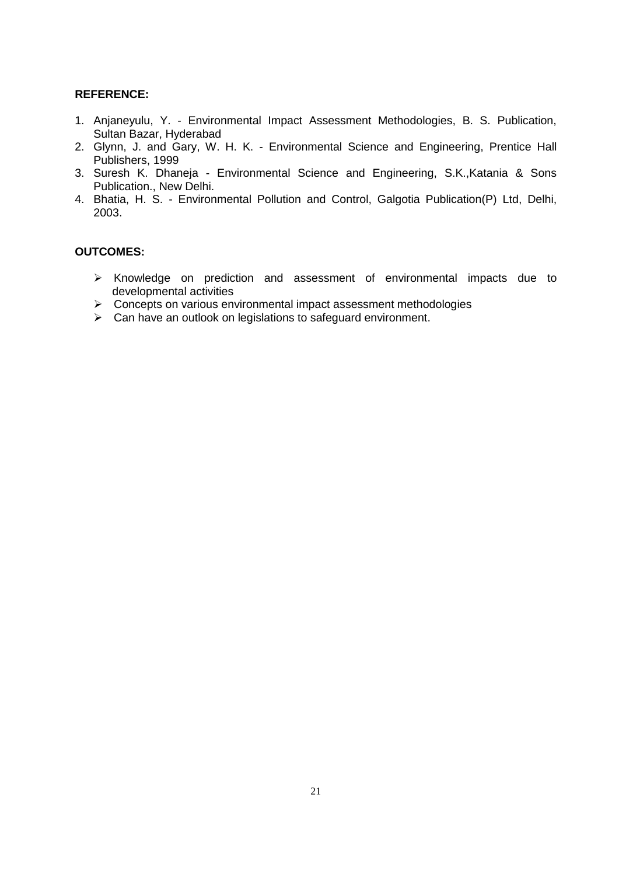- 1. Anjaneyulu, Y. Environmental Impact Assessment Methodologies, B. S. Publication, Sultan Bazar, Hyderabad
- 2. Glynn, J. and Gary, W. H. K. Environmental Science and Engineering, Prentice Hall Publishers, 1999
- 3. Suresh K. Dhaneja Environmental Science and Engineering, S.K.,Katania & Sons Publication., New Delhi.
- 4. Bhatia, H. S. Environmental Pollution and Control, Galgotia Publication(P) Ltd, Delhi, 2003.

- $\triangleright$  Knowledge on prediction and assessment of environmental impacts due to developmental activities
- Concepts on various environmental impact assessment methodologies
- Can have an outlook on legislations to safeguard environment.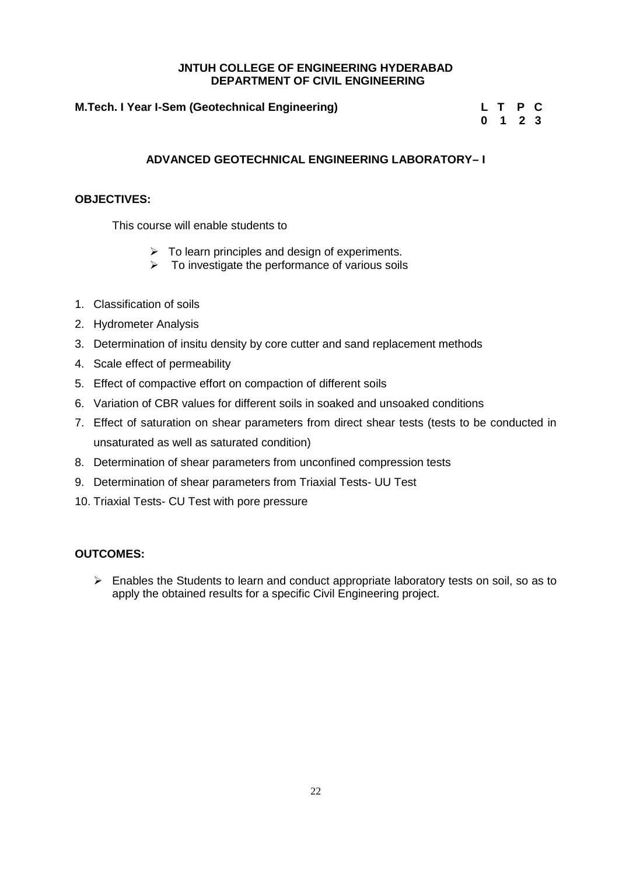#### **M.Tech. I Year I-Sem (Geotechnical Engineering) L T P C**

**0 1 2 3**

#### **ADVANCED GEOTECHNICAL ENGINEERING LABORATORY– I**

#### **OBJECTIVES:**

This course will enable students to

- $\triangleright$  To learn principles and design of experiments.
- $\triangleright$  To investigate the performance of various soils
- 1. Classification of soils
- 2. Hydrometer Analysis
- 3. Determination of insitu density by core cutter and sand replacement methods
- 4. Scale effect of permeability
- 5. Effect of compactive effort on compaction of different soils
- 6. Variation of CBR values for different soils in soaked and unsoaked conditions
- 7. Effect of saturation on shear parameters from direct shear tests (tests to be conducted in unsaturated as well as saturated condition)
- 8. Determination of shear parameters from unconfined compression tests
- 9. Determination of shear parameters from Triaxial Tests- UU Test
- 10. Triaxial Tests- CU Test with pore pressure

#### **OUTCOMES:**

 $\triangleright$  Enables the Students to learn and conduct appropriate laboratory tests on soil, so as to apply the obtained results for a specific Civil Engineering project.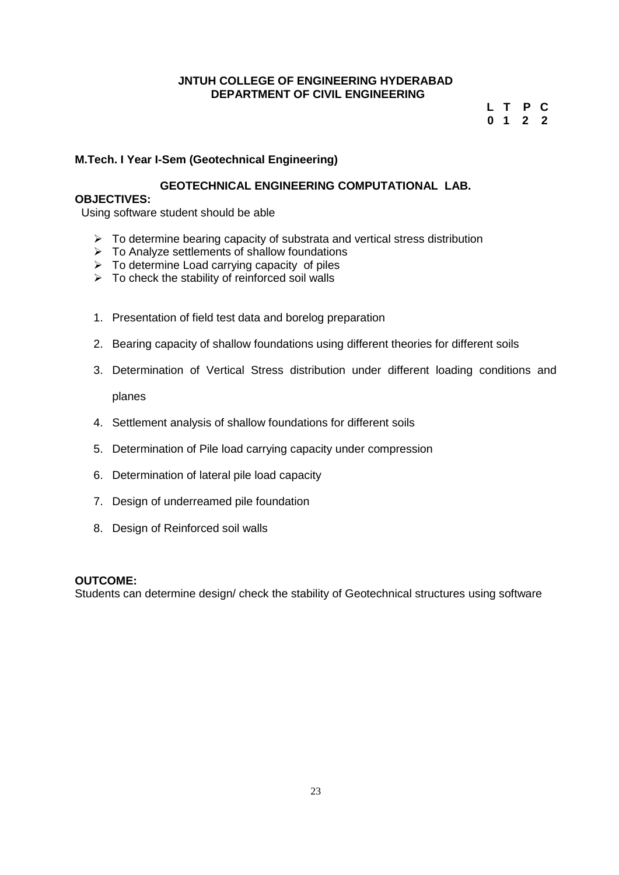#### **L T P C 0 1 2 2**

#### **M.Tech. I Year I-Sem (Geotechnical Engineering)**

#### **GEOTECHNICAL ENGINEERING COMPUTATIONAL LAB.**

#### **OBJECTIVES:**

Using software student should be able

- $\triangleright$  To determine bearing capacity of substrata and vertical stress distribution
- $\triangleright$  To Analyze settlements of shallow foundations
- $\triangleright$  To determine Load carrying capacity of piles
- $\triangleright$  To check the stability of reinforced soil walls
- 1. Presentation of field test data and borelog preparation
- 2. Bearing capacity of shallow foundations using different theories for different soils
- 3. Determination of Vertical Stress distribution under different loading conditions and planes
- 4. Settlement analysis of shallow foundations for different soils
- 5. Determination of Pile load carrying capacity under compression
- 6. Determination of lateral pile load capacity
- 7. Design of underreamed pile foundation
- 8. Design of Reinforced soil walls

#### **OUTCOME:**

Students can determine design/ check the stability of Geotechnical structures using software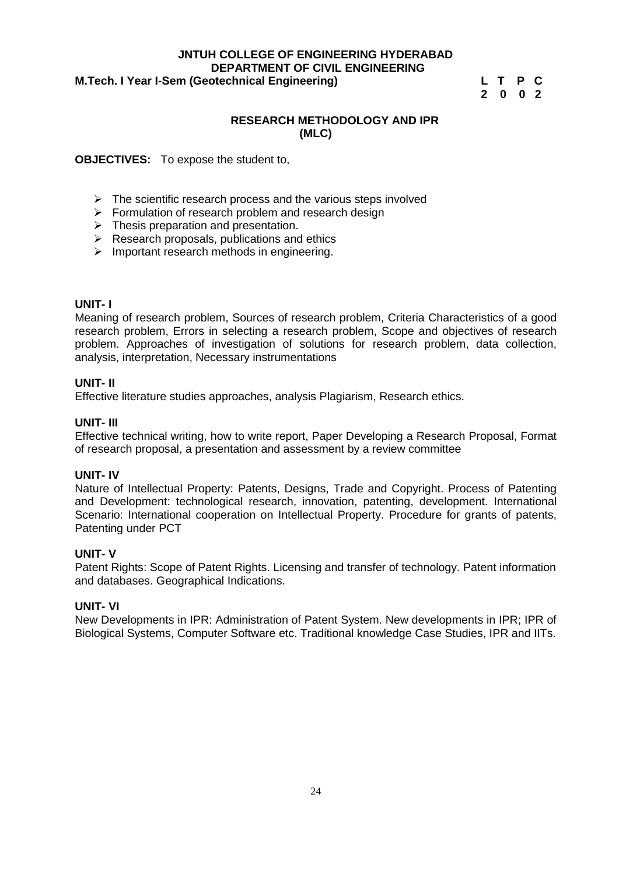#### **JNTUH COLLEGE OF ENGINEERING HYDERABAD DEPARTMENT OF CIVIL ENGINEERING**<br> **DepartMent of Civil Engineering M.Tech. I Year I-Sem (Geotechnical Engineering)**

**2 0 0 2**

#### **RESEARCH METHODOLOGY AND IPR (MLC)**

#### **OBJECTIVES:** To expose the student to,

- $\triangleright$  The scientific research process and the various steps involved
- $\triangleright$  Formulation of research problem and research design
- $\triangleright$  Thesis preparation and presentation.
- $\triangleright$  Research proposals, publications and ethics
- $\triangleright$  Important research methods in engineering.

#### **UNIT- I**

Meaning of research problem, Sources of research problem, Criteria Characteristics of a good research problem, Errors in selecting a research problem, Scope and objectives of research problem. Approaches of investigation of solutions for research problem, data collection, analysis, interpretation, Necessary instrumentations

#### **UNIT- II**

Effective literature studies approaches, analysis Plagiarism, Research ethics.

#### **UNIT- III**

Effective technical writing, how to write report, Paper Developing a Research Proposal, Format of research proposal, a presentation and assessment by a review committee

#### **UNIT- IV**

Nature of Intellectual Property: Patents, Designs, Trade and Copyright. Process of Patenting and Development: technological research, innovation, patenting, development. International Scenario: International cooperation on Intellectual Property. Procedure for grants of patents, Patenting under PCT

#### **UNIT- V**

Patent Rights: Scope of Patent Rights. Licensing and transfer of technology. Patent information and databases. Geographical Indications.

#### **UNIT- VI**

New Developments in IPR: Administration of Patent System. New developments in IPR; IPR of Biological Systems, Computer Software etc. Traditional knowledge Case Studies, IPR and IITs.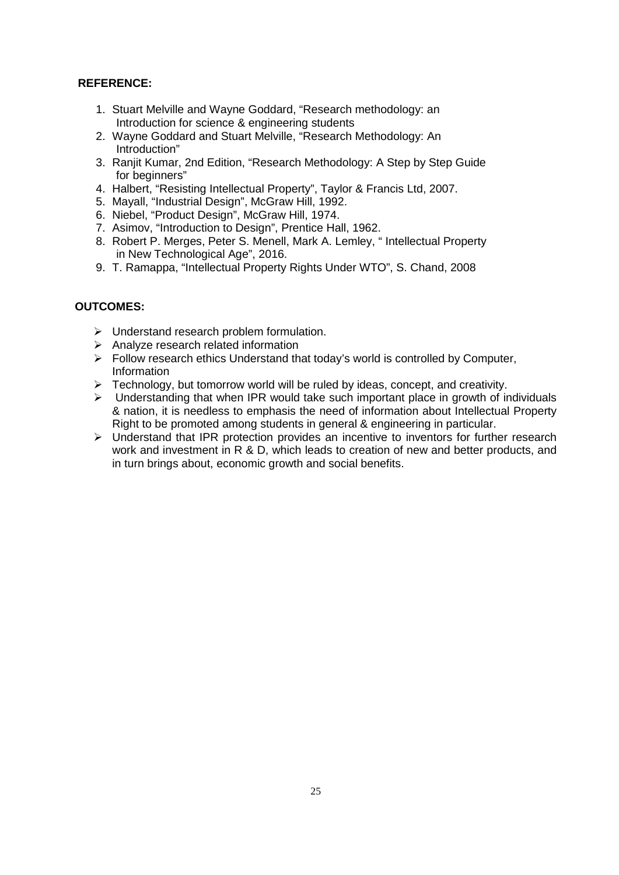- 1. Stuart Melville and Wayne Goddard, "Research methodology: an Introduction for science & engineering students
- 2. Wayne Goddard and Stuart Melville, "Research Methodology: An Introduction"
- 3. Ranjit Kumar, 2nd Edition, "Research Methodology: A Step by Step Guide for beginners"
- 4. Halbert, "Resisting Intellectual Property", Taylor & Francis Ltd, 2007.
- 5. Mayall, "Industrial Design", McGraw Hill, 1992.
- 6. Niebel, "Product Design", McGraw Hill, 1974.
- 7. Asimov, "Introduction to Design", Prentice Hall, 1962.
- 8. Robert P. Merges, Peter S. Menell, Mark A. Lemley, " Intellectual Property in New Technological Age", 2016.
- 9. T. Ramappa, "Intellectual Property Rights Under WTO", S. Chand, 2008

- $\triangleright$  Understand research problem formulation.
- $\triangleright$  Analyze research related information
- $\triangleright$  Follow research ethics Understand that today's world is controlled by Computer, Information
- Fechnology, but tomorrow world will be ruled by ideas, concept, and creativity.
- $\triangleright$  Understanding that when IPR would take such important place in growth of individuals & nation, it is needless to emphasis the need of information about Intellectual Property Right to be promoted among students in general & engineering in particular.
- $\triangleright$  Understand that IPR protection provides an incentive to inventors for further research work and investment in R & D, which leads to creation of new and better products, and in turn brings about, economic growth and social benefits.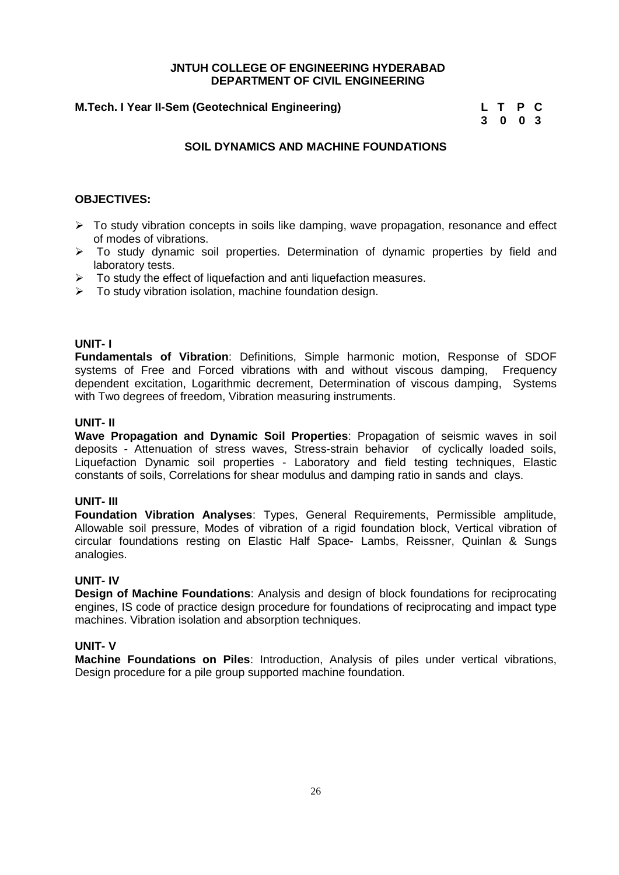#### **M.Tech. I Year II-Sem (Geotechnical Engineering)**

| L T P C                     |  |  |
|-----------------------------|--|--|
| $3 \quad 0 \quad 0 \quad 3$ |  |  |

#### **SOIL DYNAMICS AND MACHINE FOUNDATIONS**

#### **OBJECTIVES:**

- $\triangleright$  To study vibration concepts in soils like damping, wave propagation, resonance and effect of modes of vibrations.
- > To study dynamic soil properties. Determination of dynamic properties by field and laboratory tests.
- $\triangleright$  To study the effect of liquefaction and anti liquefaction measures.
- $\triangleright$  To study vibration isolation, machine foundation design.

#### **UNIT- I**

**Fundamentals of Vibration**: Definitions, Simple harmonic motion, Response of SDOF systems of Free and Forced vibrations with and without viscous damping, Frequency dependent excitation, Logarithmic decrement, Determination of viscous damping, Systems with Two degrees of freedom, Vibration measuring instruments.

#### **UNIT- II**

**Wave Propagation and Dynamic Soil Properties**: Propagation of seismic waves in soil deposits - Attenuation of stress waves, Stress-strain behavior of cyclically loaded soils, Liquefaction Dynamic soil properties - Laboratory and field testing techniques, Elastic constants of soils, Correlations for shear modulus and damping ratio in sands and clays.

#### **UNIT- III**

**Foundation Vibration Analyses**: Types, General Requirements, Permissible amplitude, Allowable soil pressure, Modes of vibration of a rigid foundation block, Vertical vibration of circular foundations resting on Elastic Half Space- Lambs, Reissner, Quinlan & Sungs analogies.

#### **UNIT- IV**

**Design of Machine Foundations**: Analysis and design of block foundations for reciprocating engines, IS code of practice design procedure for foundations of reciprocating and impact type machines. Vibration isolation and absorption techniques.

#### **UNIT- V**

**Machine Foundations on Piles**: Introduction, Analysis of piles under vertical vibrations, Design procedure for a pile group supported machine foundation.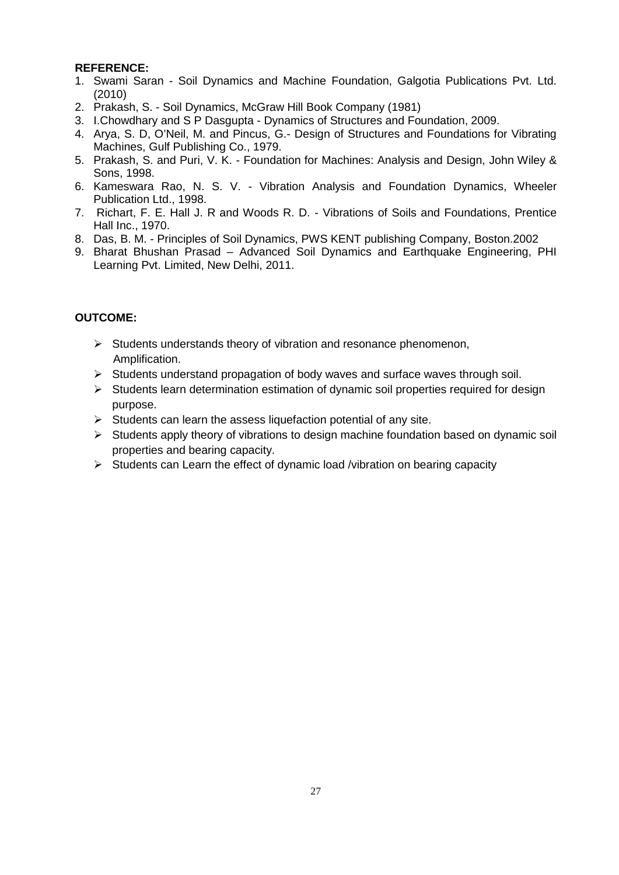- 1. Swami Saran Soil Dynamics and Machine Foundation, Galgotia Publications Pvt. Ltd. (2010)
- 2. Prakash, S. Soil Dynamics, McGraw Hill Book Company (1981)
- 3. I.Chowdhary and S P Dasgupta Dynamics of Structures and Foundation, 2009.
- 4. Arya, S. D, O'Neil, M. and Pincus, G.- Design of Structures and Foundations for Vibrating Machines, Gulf Publishing Co., 1979.
- 5. Prakash, S. and Puri, V. K. Foundation for Machines: Analysis and Design, John Wiley & Sons, 1998.
- 6. Kameswara Rao, N. S. V. Vibration Analysis and Foundation Dynamics, Wheeler Publication Ltd., 1998.
- 7. Richart, F. E. Hall J. R and Woods R. D. Vibrations of Soils and Foundations, Prentice Hall Inc., 1970.
- 8. Das, B. M. Principles of Soil Dynamics, PWS KENT publishing Company, Boston.2002
- 9. Bharat Bhushan Prasad Advanced Soil Dynamics and Earthquake Engineering, PHI Learning Pvt. Limited, New Delhi, 2011.

- $\triangleright$  Students understands theory of vibration and resonance phenomenon, Amplification.
- $\triangleright$  Students understand propagation of body waves and surface waves through soil.
- $\triangleright$  Students learn determination estimation of dynamic soil properties required for design purpose.
- $\triangleright$  Students can learn the assess liquefaction potential of any site.
- $\triangleright$  Students apply theory of vibrations to design machine foundation based on dynamic soil properties and bearing capacity.
- $\triangleright$  Students can Learn the effect of dynamic load /vibration on bearing capacity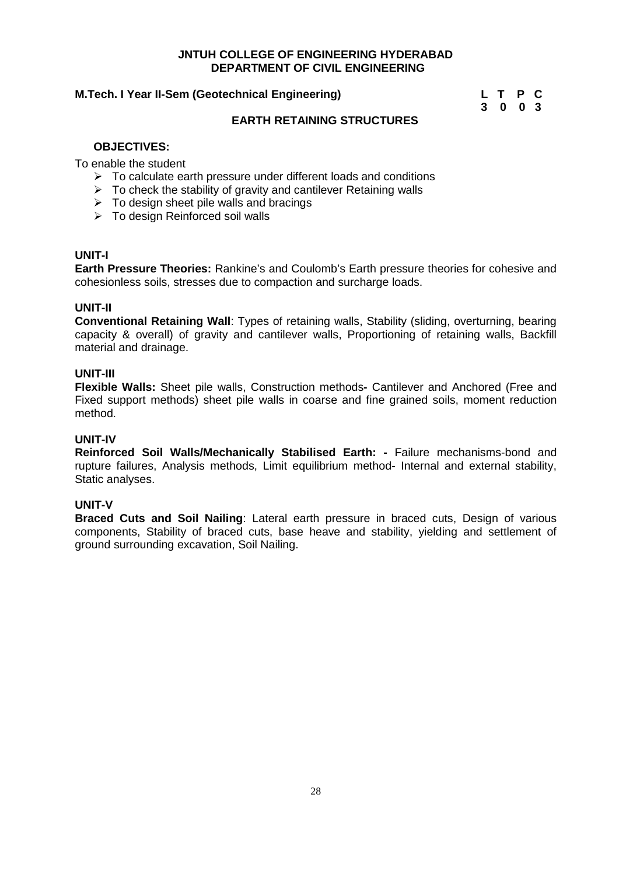#### **M.Tech. I Year II-Sem (Geotechnical Engineering) L T P C**

**3 0 0 3**

#### **EARTH RETAINING STRUCTURES**

#### **OBJECTIVES:**

To enable the student

- $\triangleright$  To calculate earth pressure under different loads and conditions
- $\triangleright$  To check the stability of gravity and cantilever Retaining walls
- $\triangleright$  To design sheet pile walls and bracings
- $\triangleright$  To design Reinforced soil walls

#### **UNIT-I**

**Earth Pressure Theories:** Rankine's and Coulomb's Earth pressure theories for cohesive and cohesionless soils, stresses due to compaction and surcharge loads.

#### **UNIT-II**

**Conventional Retaining Wall**: Types of retaining walls, Stability (sliding, overturning, bearing capacity & overall) of gravity and cantilever walls, Proportioning of retaining walls, Backfill material and drainage.

#### **UNIT-III**

**Flexible Walls:** Sheet pile walls, Construction methods**-** Cantilever and Anchored (Free and Fixed support methods) sheet pile walls in coarse and fine grained soils, moment reduction method.

#### **UNIT-IV**

**Reinforced Soil Walls/Mechanically Stabilised Earth: -** Failure mechanisms-bond and rupture failures, Analysis methods, Limit equilibrium method- Internal and external stability, Static analyses.

#### **UNIT-V**

**Braced Cuts and Soil Nailing:** Lateral earth pressure in braced cuts. Design of various components, Stability of braced cuts, base heave and stability, yielding and settlement of ground surrounding excavation, Soil Nailing.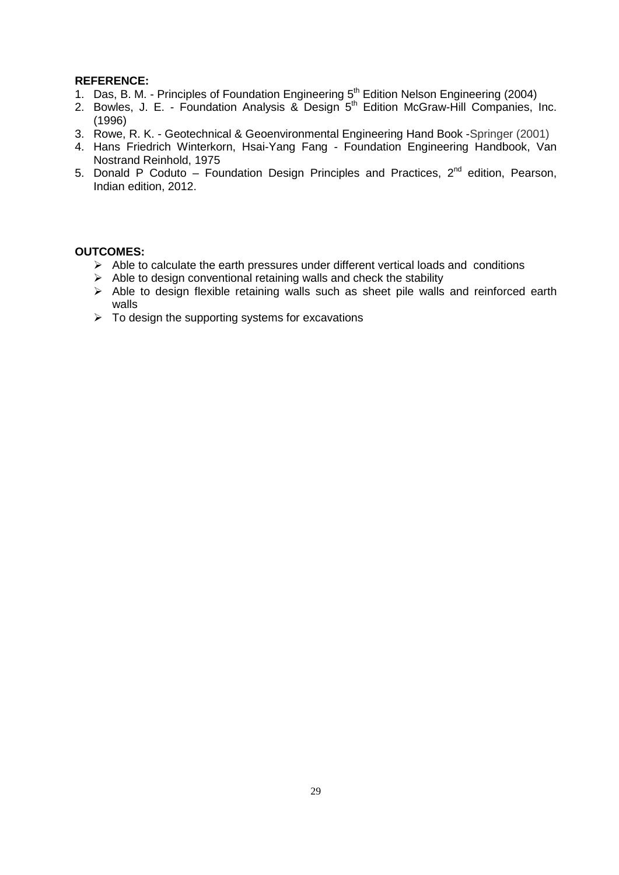- 1. Das, B. M. Principles of Foundation Engineering 5<sup>th</sup> Edition Nelson Engineering (2004)
- 2. Bowles, J. E. Foundation Analysis & Design 5<sup>th</sup> Edition McGraw-Hill Companies, Inc. (1996)
- 3. Rowe, R. K. Geotechnical & Geoenvironmental Engineering Hand Book -Springer (2001)
- 4. Hans Friedrich Winterkorn, Hsai-Yang Fang Foundation Engineering Handbook, Van Nostrand Reinhold, 1975
- 5. Donald P Coduto Foundation Design Principles and Practices,  $2^{nd}$  edition, Pearson, Indian edition, 2012.

- $\triangleright$  Able to calculate the earth pressures under different vertical loads and conditions
- $\triangleright$  Able to design conventional retaining walls and check the stability
- $\triangleright$  Able to design flexible retaining walls such as sheet pile walls and reinforced earth walls
- $\triangleright$  To design the supporting systems for excavations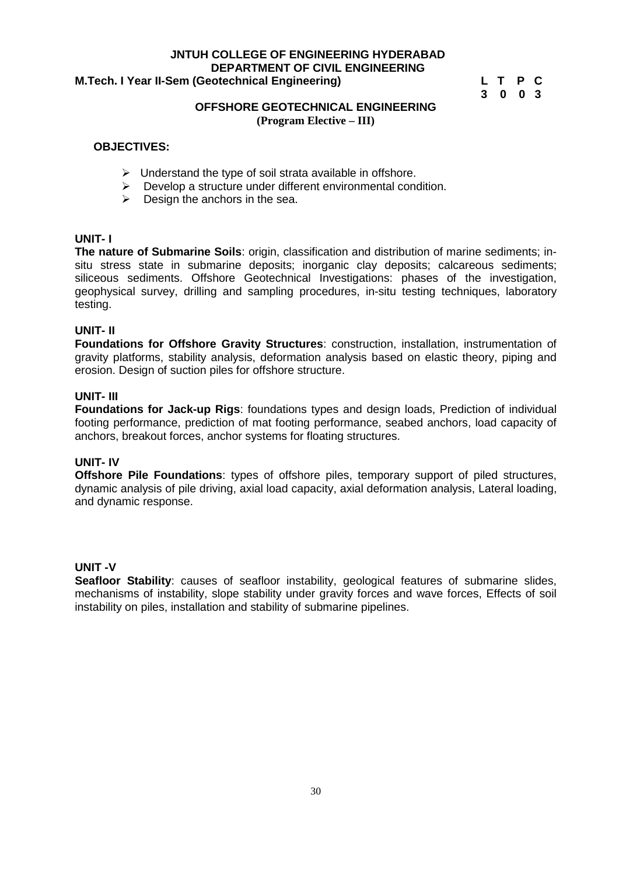#### **JNTUH COLLEGE OF ENGINEERING HYDERABAD DEPARTMENT OF CIVIL ENGINEERING<br>|-<br>| L T P C M.Tech. I Year II-Sem (Geotechnical Engineering)**

**3 0 0 3**

#### **OFFSHORE GEOTECHNICAL ENGINEERING (Program Elective – III)**

#### **OBJECTIVES:**

- $\triangleright$  Understand the type of soil strata available in offshore.
- $\triangleright$  Develop a structure under different environmental condition.
- $\triangleright$  Design the anchors in the sea.

#### **UNIT- I**

**The nature of Submarine Soils:** origin, classification and distribution of marine sediments; insitu stress state in submarine deposits; inorganic clay deposits; calcareous sediments; siliceous sediments. Offshore Geotechnical Investigations: phases of the investigation, geophysical survey, drilling and sampling procedures, in-situ testing techniques, laboratory testing.

#### **UNIT- II**

**Foundations for Offshore Gravity Structures**: construction, installation, instrumentation of gravity platforms, stability analysis, deformation analysis based on elastic theory, piping and erosion. Design of suction piles for offshore structure.

#### **UNIT- III**

**Foundations for Jack-up Rigs**: foundations types and design loads, Prediction of individual footing performance, prediction of mat footing performance, seabed anchors, load capacity of anchors, breakout forces, anchor systems for floating structures.

#### **UNIT- IV**

**Offshore Pile Foundations**: types of offshore piles, temporary support of piled structures, dynamic analysis of pile driving, axial load capacity, axial deformation analysis, Lateral loading, and dynamic response.

#### **UNIT -V**

**Seafloor Stability:** causes of seafloor instability, geological features of submarine slides, mechanisms of instability, slope stability under gravity forces and wave forces, Effects of soil instability on piles, installation and stability of submarine pipelines.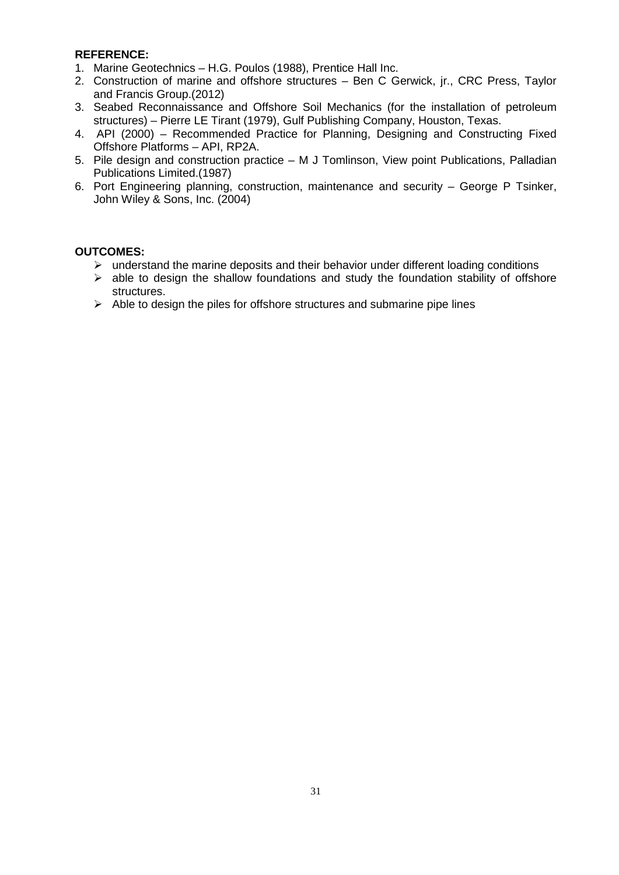- 1. Marine Geotechnics H.G. Poulos (1988), Prentice Hall Inc.
- 2. Construction of marine and offshore structures Ben C Gerwick, jr., CRC Press, Taylor and Francis Group.(2012)
- 3. Seabed Reconnaissance and Offshore Soil Mechanics (for the installation of petroleum structures) – Pierre LE Tirant (1979), Gulf Publishing Company, Houston, Texas.
- 4. API (2000) Recommended Practice for Planning, Designing and Constructing Fixed Offshore Platforms – API, RP2A.
- 5. Pile design and construction practice M J Tomlinson, View point Publications, Palladian Publications Limited.(1987)
- 6. Port Engineering planning, construction, maintenance and security George P Tsinker, John Wiley & Sons, Inc. (2004)

- $\triangleright$  understand the marine deposits and their behavior under different loading conditions
- $\triangleright$  able to design the shallow foundations and study the foundation stability of offshore structures.
- $\triangleright$  Able to design the piles for offshore structures and submarine pipe lines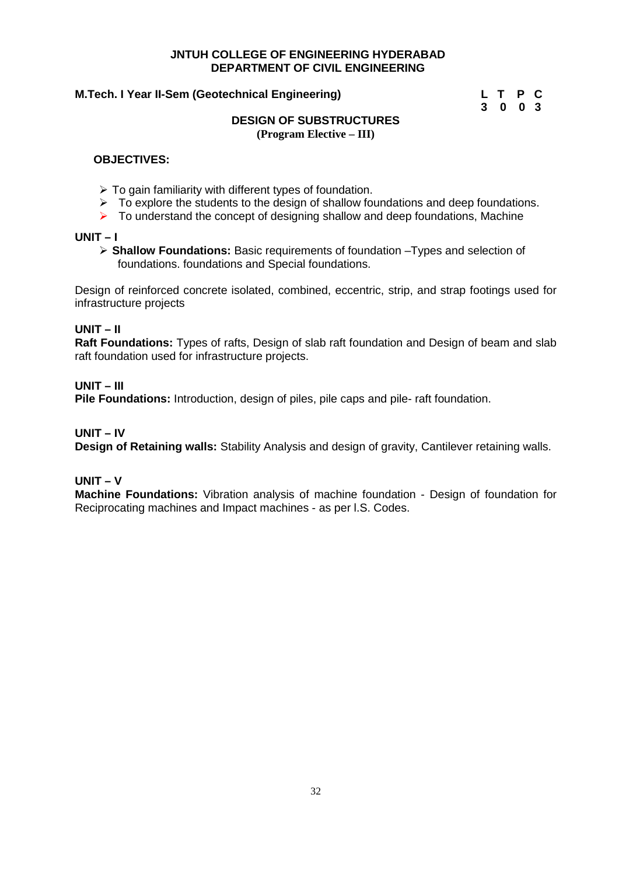#### **M.Tech. I Year II-Sem (Geotechnical Engineering)**

| L T P C |  |  |
|---------|--|--|
| 3003    |  |  |

#### **DESIGN OF SUBSTRUCTURES (Program Elective – III)**

#### **OBJECTIVES:**

- $\triangleright$  To gain familiarity with different types of foundation.
- $\triangleright$  To explore the students to the design of shallow foundations and deep foundations.
- $\triangleright$  To understand the concept of designing shallow and deep foundations, Machine

#### **UNIT – I**

 **Shallow Foundations:** Basic requirements of foundation –Types and selection of foundations. foundations and Special foundations.

Design of reinforced concrete isolated, combined, eccentric, strip, and strap footings used for infrastructure projects

#### **UNIT – II**

**Raft Foundations:** Types of rafts, Design of slab raft foundation and Design of beam and slab raft foundation used for infrastructure projects.

#### **UNIT – III**

**Pile Foundations:** Introduction, design of piles, pile caps and pile- raft foundation.

#### **UNIT – IV**

**Design of Retaining walls:** Stability Analysis and design of gravity, Cantilever retaining walls.

#### **UNIT – V**

**Machine Foundations:** Vibration analysis of machine foundation - Design of foundation for Reciprocating machines and Impact machines - as per l.S. Codes.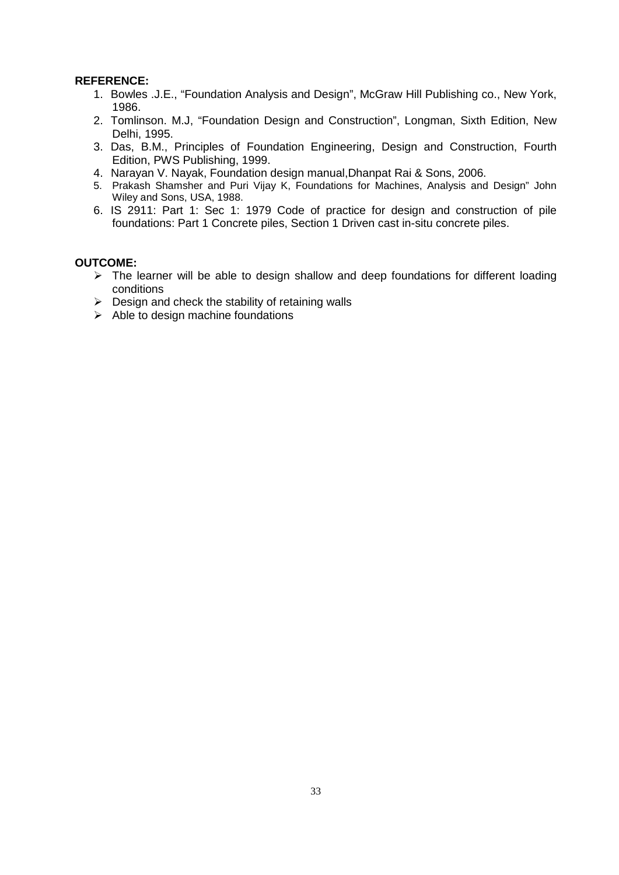- 1. Bowles .J.E., "Foundation Analysis and Design", McGraw Hill Publishing co., New York, 1986.
- 2. Tomlinson. M.J, "Foundation Design and Construction", Longman, Sixth Edition, New Delhi, 1995.
- 3. Das, B.M., Principles of Foundation Engineering, Design and Construction, Fourth Edition, PWS Publishing, 1999.
- 4. Narayan V. Nayak, Foundation design manual,Dhanpat Rai & Sons, 2006.
- 5. Prakash Shamsher and Puri Vijay K, Foundations for Machines, Analysis and Design" John Wiley and Sons, USA, 1988.
- 6. IS 2911: Part 1: Sec 1: 1979 Code of practice for design and construction of pile foundations: Part 1 Concrete piles, Section 1 Driven cast in-situ concrete piles.

- $\triangleright$  The learner will be able to design shallow and deep foundations for different loading conditions
- $\triangleright$  Design and check the stability of retaining walls
- $\triangleright$  Able to design machine foundations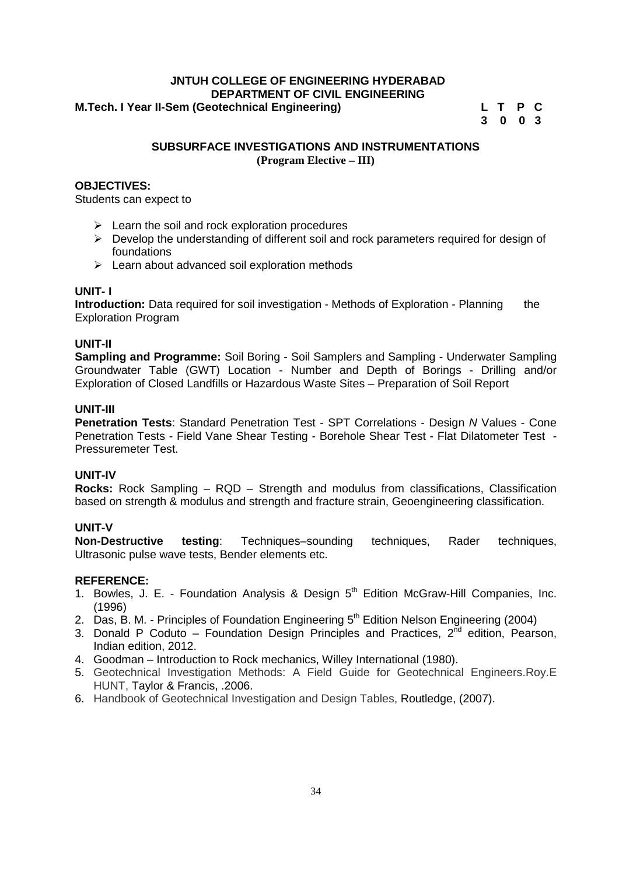#### **JNTUH COLLEGE OF ENGINEERING HYDERABAD DEPARTMENT OF CIVIL ENGINEERING M.Tech. I Year II-Sem (Geotechnical Engineering) L T P C**

**3 0 0 3**

#### **SUBSURFACE INVESTIGATIONS AND INSTRUMENTATIONS (Program Elective – III)**

#### **OBJECTIVES:**

Students can expect to

- $\triangleright$  Learn the soil and rock exploration procedures
- $\triangleright$  Develop the understanding of different soil and rock parameters required for design of foundations
- $\triangleright$  Learn about advanced soil exploration methods

#### **UNIT- I**

**Introduction:** Data required for soil investigation - Methods of Exploration - Planning the Exploration Program

#### **UNIT-II**

**Sampling and Programme:** Soil Boring - Soil Samplers and Sampling - Underwater Sampling Groundwater Table (GWT) Location - Number and Depth of Borings - Drilling and/or Exploration of Closed Landfills or Hazardous Waste Sites – Preparation of Soil Report

#### **UNIT-III**

**Penetration Tests**: Standard Penetration Test - SPT Correlations - Design *N* Values - Cone Penetration Tests - Field Vane Shear Testing - Borehole Shear Test - Flat Dilatometer Test - Pressuremeter Test.

#### **UNIT-IV**

**Rocks:** Rock Sampling – RQD – Strength and modulus from classifications, Classification based on strength & modulus and strength and fracture strain, Geoengineering classification.

**UNIT-V testing**: Techniques–sounding techniques, Rader techniques, Ultrasonic pulse wave tests, Bender elements etc.

#### **REFERENCE:**

- 1. Bowles, J. E. Foundation Analysis & Design 5<sup>th</sup> Edition McGraw-Hill Companies, Inc. (1996)
- 2. Das, B. M. Principles of Foundation Engineering  $5<sup>th</sup>$  Edition Nelson Engineering (2004)
- 3. Donald P Coduto Foundation Design Principles and Practices,  $2^{\overline{n}d}$  edition, Pearson, Indian edition, 2012.
- 4. Goodman Introduction to Rock mechanics, Willey International (1980).
- 5. Geotechnical Investigation Methods: A Field Guide for Geotechnical Engineers.Roy.E HUNT, Taylor & Francis, .2006.
- 6. Handbook of Geotechnical Investigation and Design Tables, Routledge, (2007).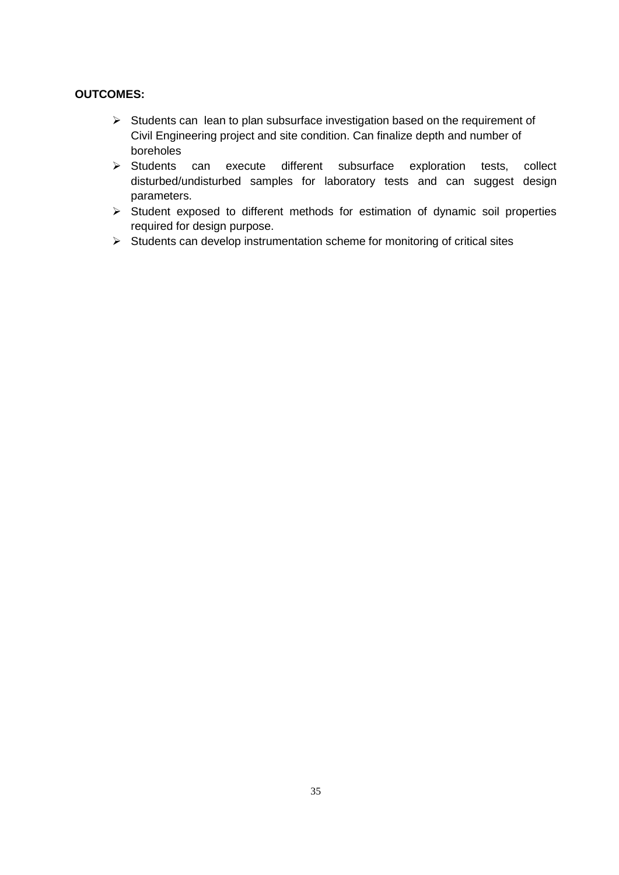- $\triangleright$  Students can lean to plan subsurface investigation based on the requirement of Civil Engineering project and site condition. Can finalize depth and number of boreholes
- $\triangleright$  Students can execute different subsurface exploration tests, collect disturbed/undisturbed samples for laboratory tests and can suggest design parameters.
- $\triangleright$  Student exposed to different methods for estimation of dynamic soil properties required for design purpose.
- $\triangleright$  Students can develop instrumentation scheme for monitoring of critical sites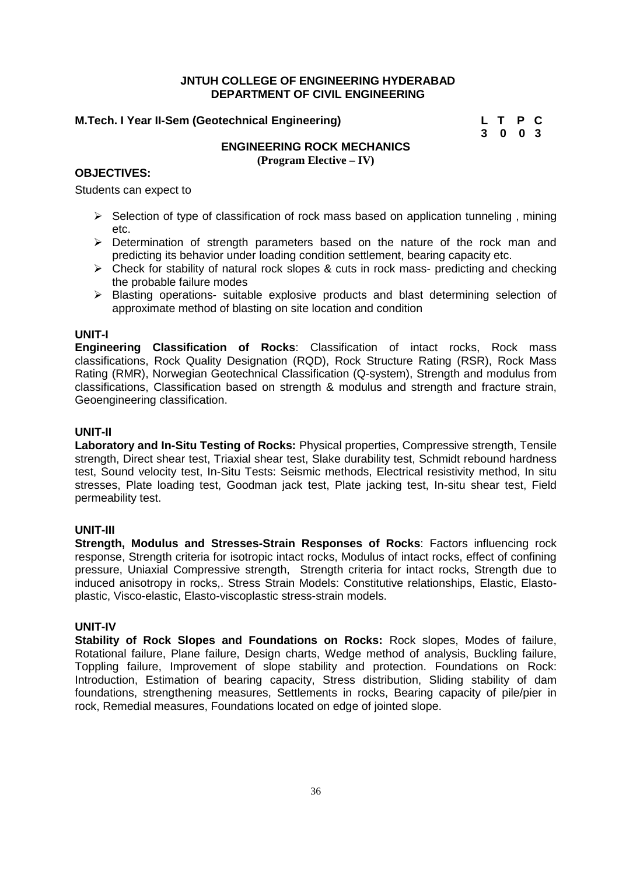#### **M.Tech. I Year II-Sem (Geotechnical Engineering) L T P C**

# **3 0 0 3**

## **ENGINEERING ROCK MECHANICS**

**(Program Elective – IV)**

#### **OBJECTIVES:**

Students can expect to

- $\triangleright$  Selection of type of classification of rock mass based on application tunneling, mining etc.
- $\triangleright$  Determination of strength parameters based on the nature of the rock man and predicting its behavior under loading condition settlement, bearing capacity etc.
- $\triangleright$  Check for stability of natural rock slopes & cuts in rock mass- predicting and checking the probable failure modes
- $\triangleright$  Blasting operations- suitable explosive products and blast determining selection of approximate method of blasting on site location and condition

#### **UNIT-I**

**Engineering Classification of Rocks**: Classification of intact rocks, Rock mass classifications, Rock Quality Designation (RQD), Rock Structure Rating (RSR), Rock Mass Rating (RMR), Norwegian Geotechnical Classification (Q-system), Strength and modulus from classifications, Classification based on strength & modulus and strength and fracture strain, Geoengineering classification.

#### **UNIT-II**

**Laboratory and In-Situ Testing of Rocks:** Physical properties, Compressive strength, Tensile strength, Direct shear test, Triaxial shear test, Slake durability test, Schmidt rebound hardness test, Sound velocity test, In-Situ Tests: Seismic methods, Electrical resistivity method, In situ stresses, Plate loading test, Goodman jack test, Plate jacking test, In-situ shear test, Field permeability test.

#### **UNIT-III**

**Strength, Modulus and Stresses-Strain Responses of Rocks**: Factors influencing rock response, Strength criteria for isotropic intact rocks, Modulus of intact rocks, effect of confining pressure, Uniaxial Compressive strength, Strength criteria for intact rocks, Strength due to induced anisotropy in rocks,. Stress Strain Models: Constitutive relationships, Elastic, Elasto plastic, Visco-elastic, Elasto-viscoplastic stress-strain models.

#### **UNIT-IV**

**Stability of Rock Slopes and Foundations on Rocks:** Rock slopes, Modes of failure, Rotational failure, Plane failure, Design charts, Wedge method of analysis, Buckling failure, Toppling failure, Improvement of slope stability and protection. Foundations on Rock: Introduction, Estimation of bearing capacity, Stress distribution, Sliding stability of dam foundations, strengthening measures, Settlements in rocks, Bearing capacity of pile/pier in rock, Remedial measures, Foundations located on edge of jointed slope.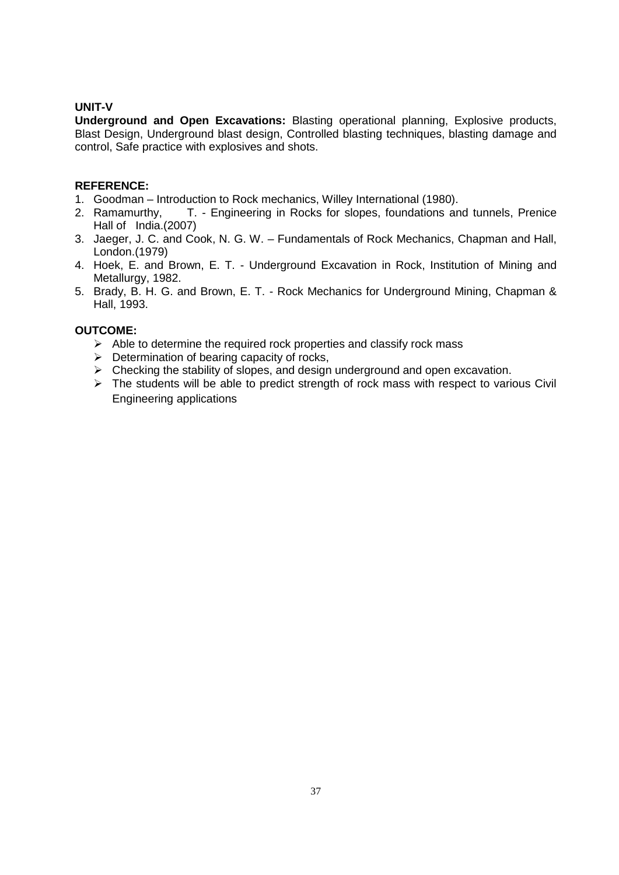#### **UNIT-V**

**Underground and Open Excavations:** Blasting operational planning, Explosive products, Blast Design, Underground blast design, Controlled blasting techniques, blasting damage and control, Safe practice with explosives and shots.

#### **REFERENCE:**

- 1. Goodman Introduction to Rock mechanics, Willey International (1980).
- 2. Ramamurthy, T. Engineering in Rocks for slopes, foundations and tunnels, Prenice Hall of India.(2007)
- 3. Jaeger, J. C. and Cook, N. G. W. Fundamentals of Rock Mechanics, Chapman and Hall, London.(1979)
- 4. Hoek, E. and Brown, E. T. Underground Excavation in Rock, Institution of Mining and Metallurgy, 1982.
- 5. Brady, B. H. G. and Brown, E. T. Rock Mechanics for Underground Mining, Chapman & Hall, 1993.

- $\triangleright$  Able to determine the required rock properties and classify rock mass
- $\triangleright$  Determination of bearing capacity of rocks,
- $\triangleright$  Checking the stability of slopes, and design underground and open excavation.
- > The students will be able to predict strength of rock mass with respect to various Civil Engineering applications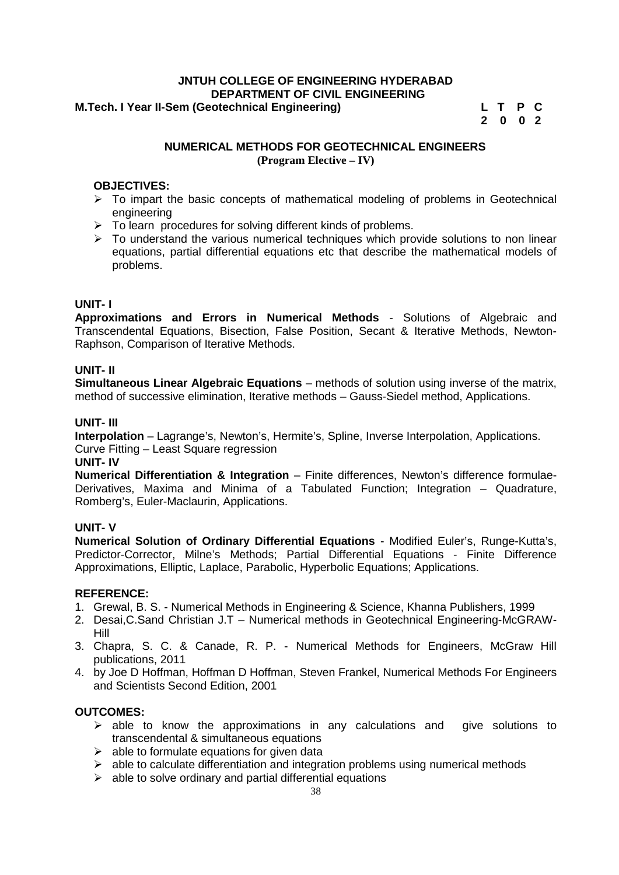#### **JNTUH COLLEGE OF ENGINEERING HYDERABAD DEPARTMENT OF CIVIL ENGINEERING M.Tech. I Year II-Sem (Geotechnical Engineering) L T P C**

**2 0 0 2**

#### **NUMERICAL METHODS FOR GEOTECHNICAL ENGINEERS (Program Elective – IV)**

#### **OBJECTIVES:**

- $\triangleright$  To impart the basic concepts of mathematical modeling of problems in Geotechnical engineering
- $\triangleright$  To learn procedures for solving different kinds of problems.
- $\triangleright$  To understand the various numerical techniques which provide solutions to non linear equations, partial differential equations etc that describe the mathematical models of problems.

#### **UNIT- I**

**Approximations and Errors in Numerical Methods** - Solutions of Algebraic and Transcendental Equations, Bisection, False Position, Secant & Iterative Methods, Newton- Raphson, Comparison of Iterative Methods.

#### **UNIT- II**

**Simultaneous Linear Algebraic Equations** – methods of solution using inverse of the matrix, method of successive elimination, Iterative methods – Gauss-Siedel method, Applications.

#### **UNIT- III**

**Interpolation** – Lagrange's, Newton's, Hermite's, Spline, Inverse Interpolation, Applications. Curve Fitting – Least Square regression

#### **UNIT- IV**

**Numerical Differentiation & Integration** – Finite differences, Newton's difference formulae- Derivatives, Maxima and Minima of a Tabulated Function; Integration – Quadrature, Romberg's, Euler-Maclaurin, Applications.

#### **UNIT- V**

**Numerical Solution of Ordinary Differential Equations** - Modified Euler's, Runge-Kutta's, Predictor-Corrector, Milne's Methods; Partial Differential Equations - Finite Difference Approximations, Elliptic, Laplace, Parabolic, Hyperbolic Equations; Applications.

#### **REFERENCE:**

- 1. Grewal, B. S. Numerical Methods in Engineering & Science, Khanna Publishers, 1999
- 2. Desai,C.Sand Christian J.T Numerical methods in Geotechnical Engineering-McGRAW- Hill
- 3. Chapra, S. C. & Canade, R. P. Numerical Methods for Engineers, McGraw Hill publications, 2011
- 4. by Joe D Hoffman, Hoffman D Hoffman, Steven Frankel, Numerical Methods For Engineers and Scientists Second Edition, 2001

- $\triangleright$  able to know the approximations in any calculations and give solutions to transcendental & simultaneous equations
- $\triangleright$  able to formulate equations for given data
- able to calculate differentiation and integration problems using numerical methods
- $\triangleright$  able to solve ordinary and partial differential equations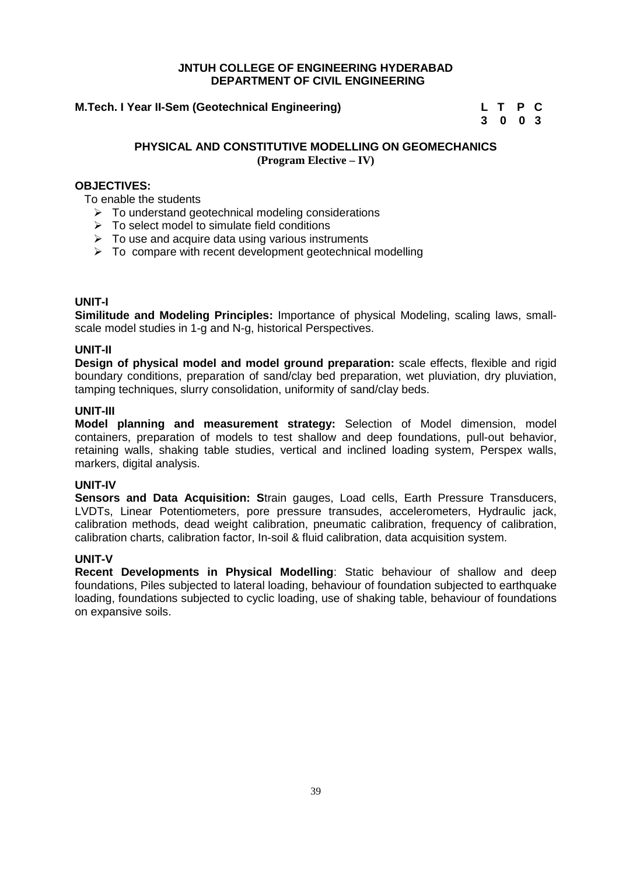#### **M.Tech. I Year II-Sem (Geotechnical Engineering) L T P C**

# **3 0 0 3**

#### **PHYSICAL AND CONSTITUTIVE MODELLING ON GEOMECHANICS (Program Elective – IV)**

#### **OBJECTIVES:**

To enable the students

- $\triangleright$  To understand geotechnical modeling considerations
- $\triangleright$  To select model to simulate field conditions
- $\triangleright$  To use and acquire data using various instruments
- To compare with recent development geotechnical modelling

#### **UNIT-I**

**Similitude and Modeling Principles:** Importance of physical Modeling, scaling laws, small scale model studies in 1-g and N-g, historical Perspectives.

#### **UNIT-II**

**Design of physical model and model ground preparation:** scale effects, flexible and rigid boundary conditions, preparation of sand/clay bed preparation, wet pluviation, dry pluviation, tamping techniques, slurry consolidation, uniformity of sand/clay beds.

#### **UNIT-III**

**Model planning and measurement strategy:** Selection of Model dimension, model containers, preparation of models to test shallow and deep foundations, pull-out behavior, retaining walls, shaking table studies, vertical and inclined loading system, Perspex walls, markers, digital analysis.

#### **UNIT-IV**

**Sensors and Data Acquisition: S**train gauges, Load cells, Earth Pressure Transducers, LVDTs, Linear Potentiometers, pore pressure transudes, accelerometers, Hydraulic jack, calibration methods, dead weight calibration, pneumatic calibration, frequency of calibration, calibration charts, calibration factor, In-soil & fluid calibration, data acquisition system.

#### **UNIT-V**

**Recent Developments in Physical Modelling**: Static behaviour of shallow and deep foundations, Piles subjected to lateral loading, behaviour of foundation subjected to earthquake loading, foundations subjected to cyclic loading, use of shaking table, behaviour of foundations on expansive soils.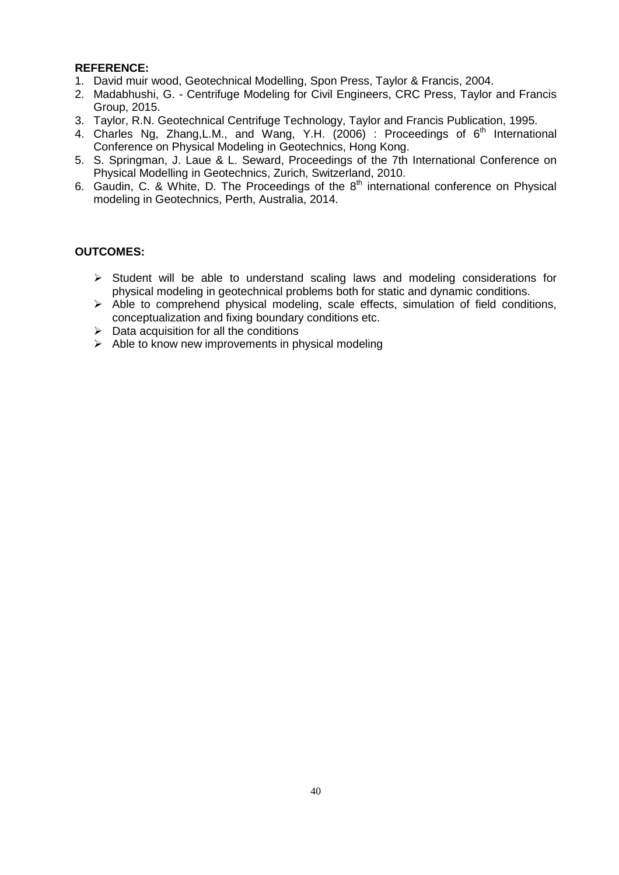- 1. David muir wood, Geotechnical Modelling, Spon Press, Taylor & Francis, 2004.
- 2. Madabhushi, G. Centrifuge Modeling for Civil Engineers, CRC Press, Taylor and Francis Group, 2015.
- 3. Taylor, R.N. Geotechnical Centrifuge Technology, Taylor and Francis Publication, 1995.
- 4. Charles Ng, Zhang, L.M., and Wang, Y.H.  $(2006)$  : Proceedings of  $6<sup>th</sup>$  International Conference on Physical Modeling in Geotechnics, Hong Kong.
- 5. S. Springman, J. Laue & L. Seward, Proceedings of the 7th International Conference on Physical Modelling in Geotechnics, Zurich, Switzerland, 2010.
- 6. Gaudin, C. & White, D. The Proceedings of the  $8<sup>th</sup>$  international conference on Physical modeling in Geotechnics, Perth, Australia, 2014.

- $\triangleright$  Student will be able to understand scaling laws and modeling considerations for physical modeling in geotechnical problems both for static and dynamic conditions.
- $\triangleright$  Able to comprehend physical modeling, scale effects, simulation of field conditions, conceptualization and fixing boundary conditions etc.
- $\triangleright$  Data acquisition for all the conditions
- $\triangleright$  Able to know new improvements in physical modeling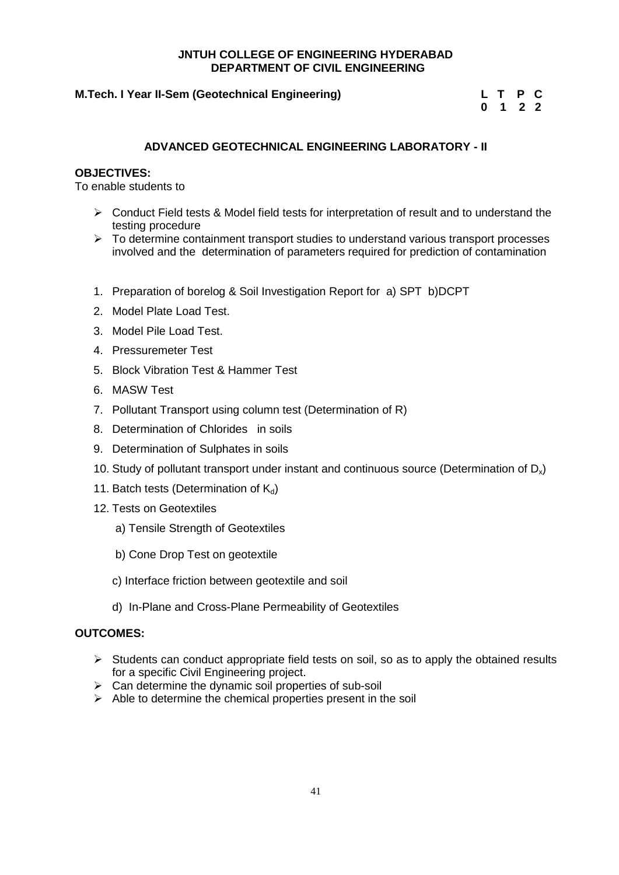#### **M.Tech. I Year II-Sem (Geotechnical Engineering)**

|  | L T P C                     |  |
|--|-----------------------------|--|
|  | $0 \quad 1 \quad 2 \quad 2$ |  |

#### **ADVANCED GEOTECHNICAL ENGINEERING LABORATORY - II**

#### **OBJECTIVES:**

To enable students to

- $\triangleright$  Conduct Field tests & Model field tests for interpretation of result and to understand the testing procedure
- $\triangleright$  To determine containment transport studies to understand various transport processes involved and the determination of parameters required for prediction of contamination
- 1. Preparation of borelog & Soil Investigation Report for a) SPT b)DCPT
- 2. Model Plate Load Test.
- 3. Model Pile Load Test.
- 4. Pressuremeter Test
- 5. Block Vibration Test & Hammer Test
- 6. MASW Test
- 7. Pollutant Transport using column test (Determination of R)
- 8. Determination of Chlorides in soils
- 9. Determination of Sulphates in soils
- 10. Study of pollutant transport under instant and continuous source (Determination of  $D_x$ )
- 11. Batch tests (Determination of  $K_d$ )
- 12. Tests on Geotextiles
	- a) Tensile Strength of Geotextiles
	- b) Cone Drop Test on geotextile
	- c) Interface friction between geotextile and soil
	- d) In-Plane and Cross-Plane Permeability of Geotextiles

- $\triangleright$  Students can conduct appropriate field tests on soil, so as to apply the obtained results for a specific Civil Engineering project.
- $\triangleright$  Can determine the dynamic soil properties of sub-soil
- $\triangleright$  Able to determine the chemical properties present in the soil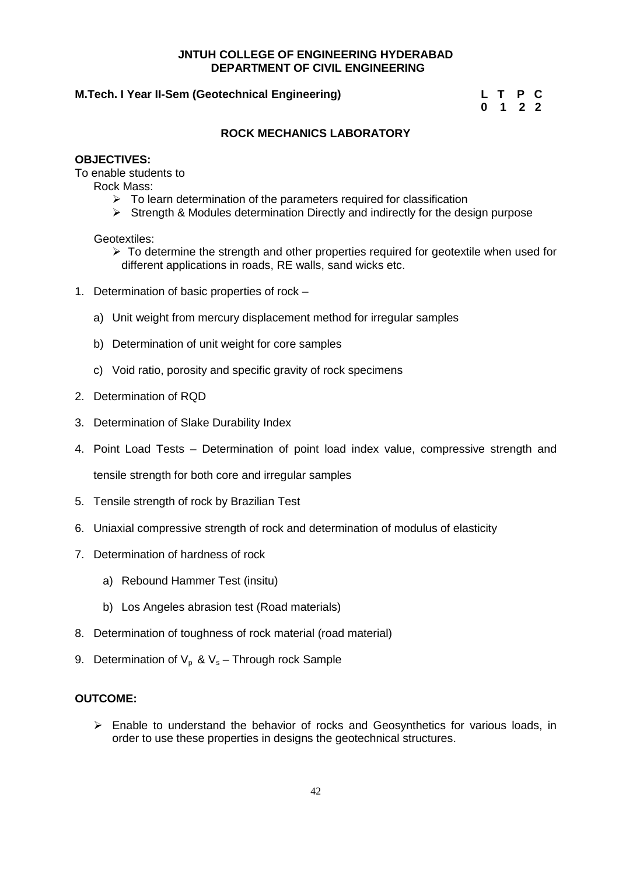#### **M.Tech. I Year II-Sem (Geotechnical Engineering) L T P C**

**0 1 2 2**

#### **ROCK MECHANICS LABORATORY**

#### **OBJECTIVES:**

To enable students to

Rock Mass:

- $\triangleright$  To learn determination of the parameters required for classification
- $\triangleright$  Strength & Modules determination Directly and indirectly for the design purpose

Geotextiles:

- $\triangleright$  To determine the strength and other properties required for geotextile when used for different applications in roads, RE walls, sand wicks etc.
- 1. Determination of basic properties of rock
	- a) Unit weight from mercury displacement method for irregular samples
	- b) Determination of unit weight for core samples
	- c) Void ratio, porosity and specific gravity of rock specimens
- 2. Determination of RQD
- 3. Determination of Slake Durability Index
- 4. Point Load Tests Determination of point load index value, compressive strength and

tensile strength for both core and irregular samples

- 5. Tensile strength of rock by Brazilian Test
- 6. Uniaxial compressive strength of rock and determination of modulus of elasticity
- 7. Determination of hardness of rock
	- a) Rebound Hammer Test (insitu)
	- b) Los Angeles abrasion test (Road materials)
- 8. Determination of toughness of rock material (road material)
- 9. Determination of  $V_p$  &  $V_s$  Through rock Sample

#### **OUTCOME:**

 $\triangleright$  Enable to understand the behavior of rocks and Geosynthetics for various loads, in order to use these properties in designs the geotechnical structures.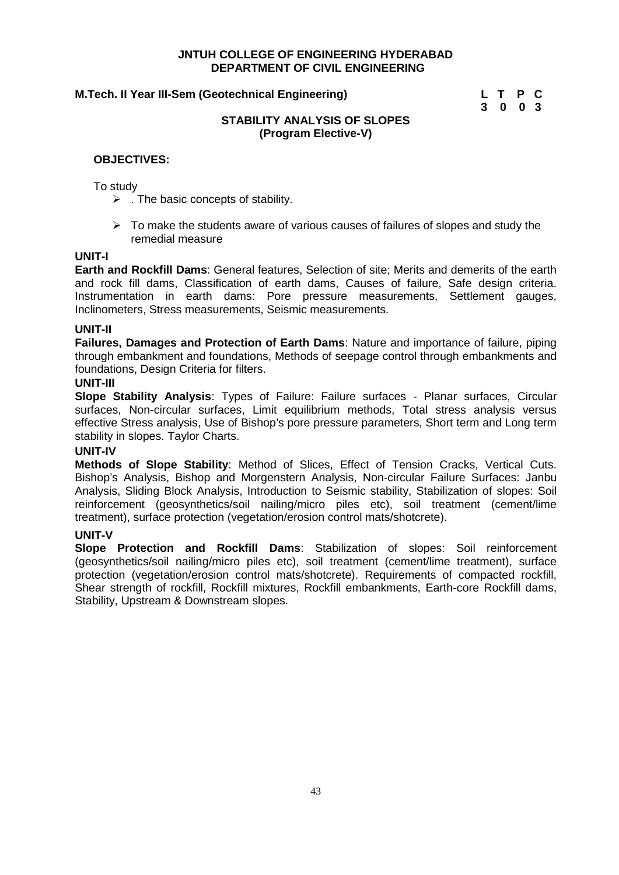#### **M.Tech. II Year III-Sem (Geotechnical Engineering) L T P C**

**3 0 0 3**

#### **STABILITY ANALYSIS OF SLOPES (Program Elective-V)**

#### **OBJECTIVES:**

#### To study

- $\triangleright$  . The basic concepts of stability.
- $\triangleright$  To make the students aware of various causes of failures of slopes and study the remedial measure

#### **UNIT-I**

**Earth and Rockfill Dams**: General features, Selection of site; Merits and demerits of the earth and rock fill dams. Classification of earth dams, Causes of failure, Safe design criteria. Instrumentation in earth dams: Pore pressure measurements, Settlement gauges, Inclinometers, Stress measurements, Seismic measurements.

#### **UNIT-II**

**Failures, Damages and Protection of Earth Dams**: Nature and importance of failure, piping through embankment and foundations, Methods of seepage control through embankments and foundations, Design Criteria for filters.

#### **UNIT-III**

**Slope Stability Analysis**: Types of Failure: Failure surfaces - Planar surfaces, Circular surfaces, Non-circular surfaces, Limit equilibrium methods, Total stress analysis versus effective Stress analysis, Use of Bishop's pore pressure parameters, Short term and Long term stability in slopes. Taylor Charts.

#### **UNIT-IV**

**Methods of Slope Stability**: Method of Slices, Effect of Tension Cracks, Vertical Cuts. Bishop's Analysis, Bishop and Morgenstern Analysis, Non-circular Failure Surfaces: Janbu Analysis, Sliding Block Analysis, Introduction to Seismic stability, Stabilization of slopes: Soil reinforcement (geosynthetics/soil nailing/micro piles etc), soil treatment (cement/lime treatment), surface protection (vegetation/erosion control mats/shotcrete).

#### **UNIT-V**

**Slope Protection and Rockfill Dams**: Stabilization of slopes: Soil reinforcement (geosynthetics/soil nailing/micro piles etc), soil treatment (cement/lime treatment), surface protection (vegetation/erosion control mats/shotcrete). Requirements of compacted rockfill, Shear strength of rockfill, Rockfill mixtures, Rockfill embankments, Earth-core Rockfill dams, Stability, Upstream & Downstream slopes.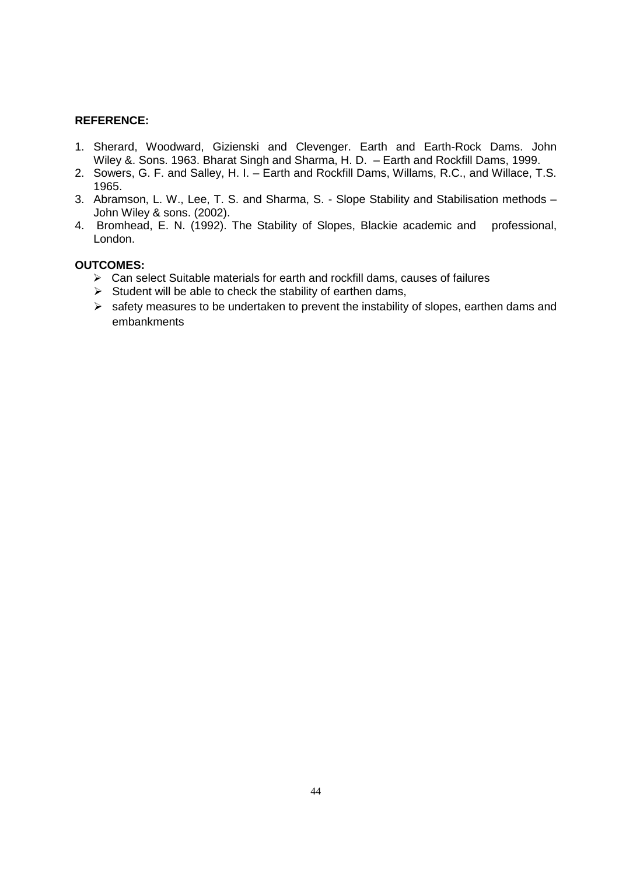- 1. Sherard, Woodward, Gizienski and Clevenger. Earth and Earth-Rock Dams. John Wiley &. Sons. 1963. Bharat Singh and Sharma, H. D. – Earth and Rockfill Dams, 1999.
- 2. Sowers, G. F. and Salley, H. I. Earth and Rockfill Dams, Willams, R.C., and Willace, T.S. 1965.
- 3. Abramson, L. W., Lee, T. S. and Sharma, S. Slope Stability and Stabilisation methods John Wiley & sons. (2002).
- 4. Bromhead, E. N. (1992). The Stability of Slopes, Blackie academic and professional, London.

- $\triangleright$  Can select Suitable materials for earth and rockfill dams, causes of failures
- $\triangleright$  Student will be able to check the stability of earthen dams,
- $\triangleright$  safety measures to be undertaken to prevent the instability of slopes, earthen dams and embankments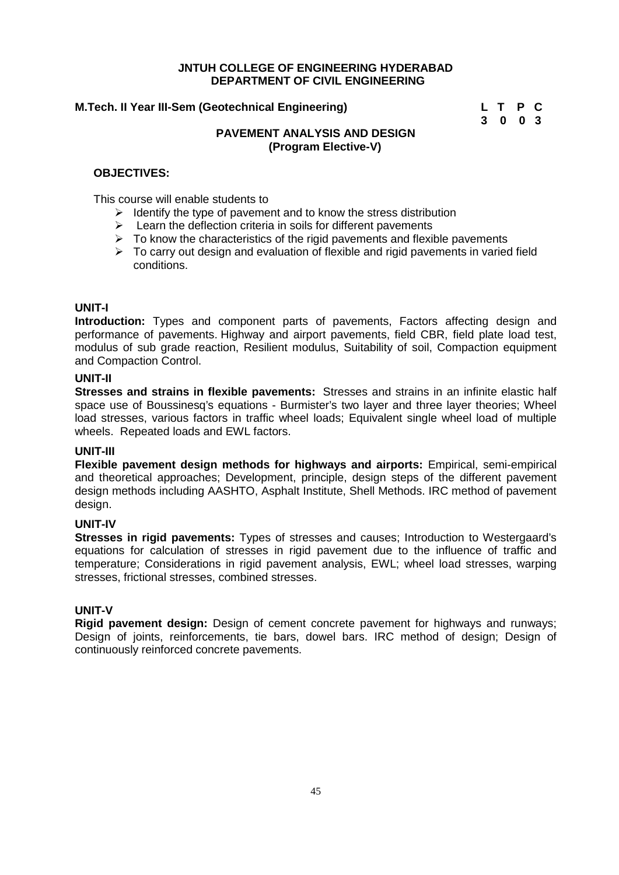#### **M.Tech. II Year III-Sem (Geotechnical Engineering) L T P C**

# **3 0 0 3**

#### **PAVEMENT ANALYSIS AND DESIGN (Program Elective-V)**

#### **OBJECTIVES:**

This course will enable students to

- $\triangleright$  Identify the type of pavement and to know the stress distribution
- $\triangleright$  Learn the deflection criteria in soils for different pavements
- To know the characteristics of the rigid pavements and flexible pavements
- $\triangleright$  To carry out design and evaluation of flexible and rigid pavements in varied field conditions.

#### **UNIT-I**

**Introduction:** Types and component parts of pavements, Factors affecting design and performance of pavements. Highway and airport pavements, field CBR, field plate load test, modulus of sub grade reaction, Resilient modulus, Suitability of soil, Compaction equipment and Compaction Control.

#### **UNIT-II**

**Stresses and strains in flexible pavements:** Stresses and strains in an infinite elastic half space use of Boussinesq's equations - Burmister's two layer and three layer theories; Wheel load stresses, various factors in traffic wheel loads; Equivalent single wheel load of multiple wheels. Repeated loads and EWL factors.

#### **UNIT-III**

**Flexible pavement design methods for highways and airports:** Empirical, semi-empirical and theoretical approaches; Development, principle, design steps of the different pavement design methods including AASHTO, Asphalt Institute, Shell Methods. IRC method of pavement design.

#### **UNIT-IV**

**Stresses in rigid pavements:** Types of stresses and causes; Introduction to Westergaard's equations for calculation of stresses in rigid pavement due to the influence of traffic and temperature; Considerations in rigid pavement analysis, EWL; wheel load stresses, warping stresses, frictional stresses, combined stresses.

#### **UNIT-V**

**Rigid pavement design:** Design of cement concrete pavement for highways and runways; Design of joints, reinforcements, tie bars, dowel bars. IRC method of design; Design of continuously reinforced concrete pavements.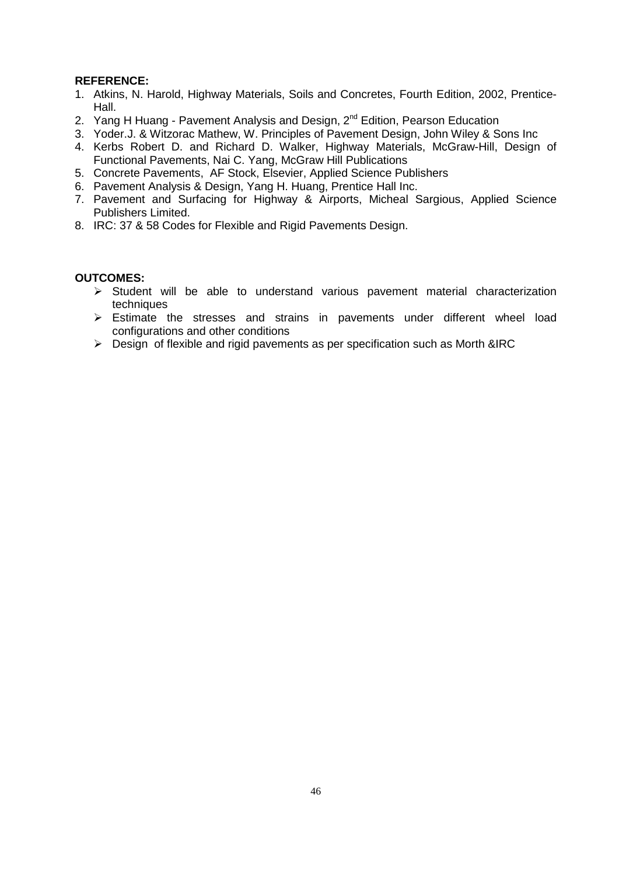- 1. Atkins, N. Harold, Highway Materials, Soils and Concretes, Fourth Edition, 2002, Prentice- Hall.
- 2. Yang H Huang Pavement Analysis and Design, 2<sup>nd</sup> Edition, Pearson Education
- 3. Yoder.J. & Witzorac Mathew, W. Principles of Pavement Design, John Wiley & Sons Inc
- 4. Kerbs Robert D. and Richard D. Walker, Highway Materials, McGraw-Hill, Design of Functional Pavements, Nai C. Yang, McGraw Hill Publications
- 5. Concrete Pavements, AF Stock, Elsevier, Applied Science Publishers
- 6. Pavement Analysis & Design, Yang H. Huang, Prentice Hall Inc.
- 7. Pavement and Surfacing for Highway & Airports, Micheal Sargious, Applied Science Publishers Limited.
- 8. IRC: 37 & 58 Codes for Flexible and Rigid Pavements Design.

- $\triangleright$  Student will be able to understand various pavement material characterization techniques
- Estimate the stresses and strains in pavements under different wheel load configurations and other conditions
- $\triangleright$  Design of flexible and rigid pavements as per specification such as Morth &IRC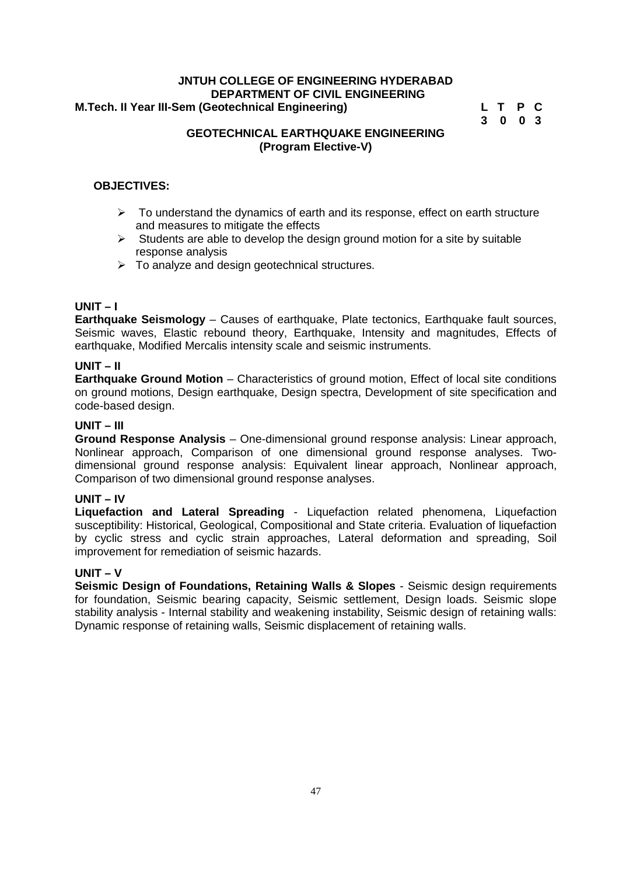#### **JNTUH COLLEGE OF ENGINEERING HYDERABAD DEPARTMENT OF CIVIL ENGINEERING M.Tech. II Year III-Sem (Geotechnical Engineering) L T P C**

# **3 0 0 3**

#### **GEOTECHNICAL EARTHQUAKE ENGINEERING (Program Elective-V)**

#### **OBJECTIVES:**

- $\triangleright$  To understand the dynamics of earth and its response, effect on earth structure and measures to mitigate the effects
- $\triangleright$  Students are able to develop the design ground motion for a site by suitable response analysis
- $\triangleright$  To analyze and design geotechnical structures.

#### **UNIT – I**

**Earthquake Seismology** – Causes of earthquake, Plate tectonics, Earthquake fault sources, Seismic waves, Elastic rebound theory, Earthquake, Intensity and magnitudes, Effects of earthquake, Modified Mercalis intensity scale and seismic instruments.

#### **UNIT – II**

**Earthquake Ground Motion** – Characteristics of ground motion, Effect of local site conditions on ground motions, Design earthquake, Design spectra, Development of site specification and code-based design.

#### **UNIT – III**

**Ground Response Analysis** – One-dimensional ground response analysis: Linear approach, Nonlinear approach, Comparison of one dimensional ground response analyses. Two dimensional ground response analysis: Equivalent linear approach, Nonlinear approach, Comparison of two dimensional ground response analyses.

#### **UNIT – IV**

**Liquefaction and Lateral Spreading** - Liquefaction related phenomena, Liquefaction susceptibility: Historical, Geological, Compositional and State criteria. Evaluation of liquefaction by cyclic stress and cyclic strain approaches, Lateral deformation and spreading, Soil improvement for remediation of seismic hazards.

#### **UNIT – V**

**Seismic Design of Foundations, Retaining Walls & Slopes** - Seismic design requirements for foundation, Seismic bearing capacity, Seismic settlement, Design loads. Seismic slope stability analysis - Internal stability and weakening instability, Seismic design of retaining walls: Dynamic response of retaining walls, Seismic displacement of retaining walls.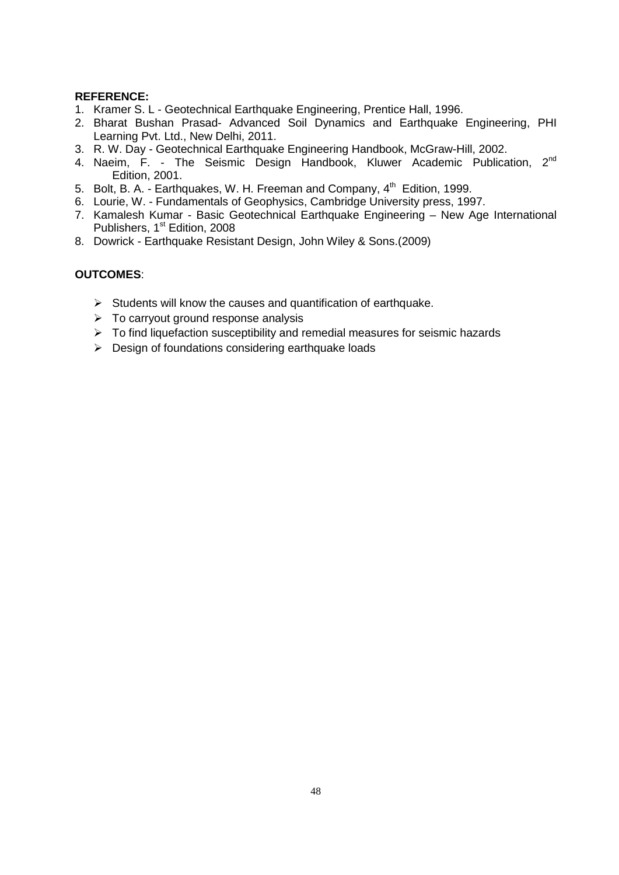- 1. Kramer S. L Geotechnical Earthquake Engineering, Prentice Hall, 1996.
- 2. Bharat Bushan Prasad- Advanced Soil Dynamics and Earthquake Engineering, PHI Learning Pvt. Ltd., New Delhi, 2011.
- 3. R. W. Day Geotechnical Earthquake Engineering Handbook, McGraw-Hill, 2002.
- 4. Naeim, F. The Seismic Design Handbook, Kluwer Academic Publication, 2nd Edition, 2001.
- 5. Bolt, B. A. Earthquakes, W. H. Freeman and Company, 4<sup>th</sup> Edition, 1999.
- 6. Lourie, W. Fundamentals of Geophysics, Cambridge University press, 1997.
- 7. Kamalesh Kumar Basic Geotechnical Earthquake Engineering New Age International Publishers, 1<sup>st</sup> Edition, 2008
- 8. Dowrick Earthquake Resistant Design, John Wiley & Sons.(2009)

- $\triangleright$  Students will know the causes and quantification of earthquake.
- $\triangleright$  To carryout ground response analysis
- $\triangleright$  To find liquefaction susceptibility and remedial measures for seismic hazards
- $\triangleright$  Design of foundations considering earthquake loads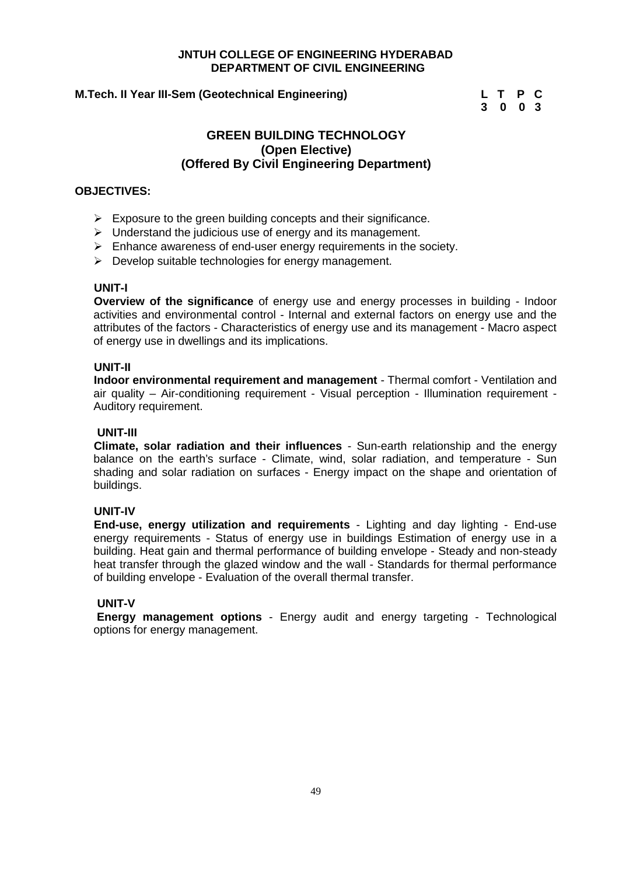#### **M.Tech. II Year III-Sem (Geotechnical Engineering) L T P C**

**3 0 0 3**

#### **GREEN BUILDING TECHNOLOGY (Open Elective) (Offered By Civil Engineering Department)**

#### **OBJECTIVES:**

- $\triangleright$  Exposure to the green building concepts and their significance.
- $\triangleright$  Understand the judicious use of energy and its management.
- $\triangleright$  Enhance awareness of end-user energy requirements in the society.
- $\triangleright$  Develop suitable technologies for energy management.

#### **UNIT-I**

**Overview of the significance** of energy use and energy processes in building - Indoor activities and environmental control - Internal and external factors on energy use and the attributes of the factors - Characteristics of energy use and its management - Macro aspect of energy use in dwellings and its implications.

#### **UNIT-II**

**Indoor environmental requirement and management** - Thermal comfort - Ventilation and air quality – Air-conditioning requirement - Visual perception - Illumination requirement - Auditory requirement.

#### **UNIT-III**

**Climate, solar radiation and their influences** - Sun-earth relationship and the energy balance on the earth's surface - Climate, wind, solar radiation, and temperature - Sun shading and solar radiation on surfaces - Energy impact on the shape and orientation of buildings.

#### **UNIT-IV**

**End-use, energy utilization and requirements** - Lighting and day lighting - End-use energy requirements - Status of energy use in buildings Estimation of energy use in a building. Heat gain and thermal performance of building envelope - Steady and non-steady heat transfer through the glazed window and the wall - Standards for thermal performance of building envelope - Evaluation of the overall thermal transfer.

#### **UNIT-V**

**Energy management options** - Energy audit and energy targeting - Technological options for energy management.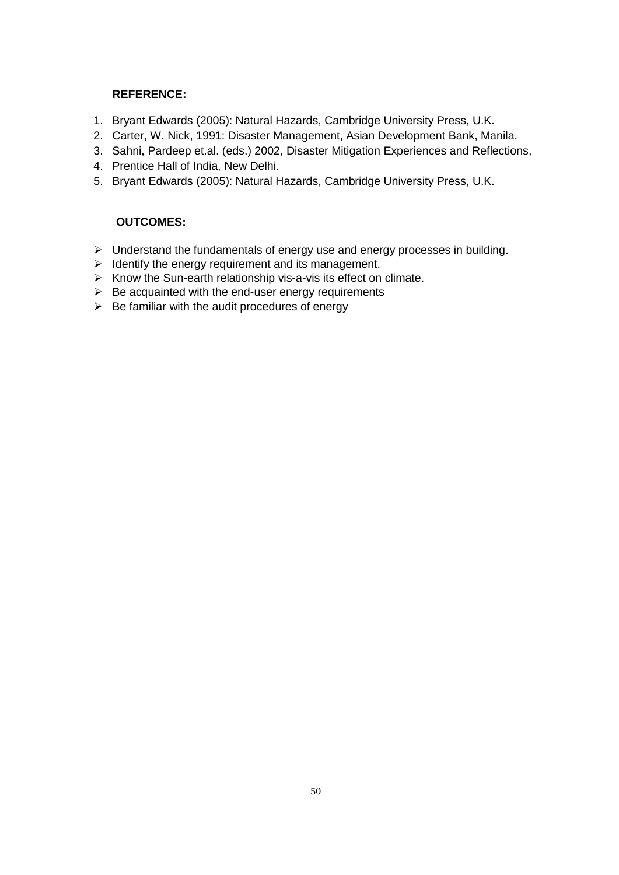- 1. Bryant Edwards (2005): Natural Hazards, Cambridge University Press, U.K.
- 2. Carter, W. Nick, 1991: Disaster Management, Asian Development Bank, Manila.
- 3. Sahni, Pardeep et.al. (eds.) 2002, Disaster Mitigation Experiences and Reflections,
- 4. Prentice Hall of India, New Delhi.
- 5. Bryant Edwards (2005): Natural Hazards, Cambridge University Press, U.K.

- $\triangleright$  Understand the fundamentals of energy use and energy processes in building.
- $\triangleright$  Identify the energy requirement and its management.
- $\triangleright$  Know the Sun-earth relationship vis-a-vis its effect on climate.
- $\triangleright$  Be acquainted with the end-user energy requirements
- $\triangleright$  Be familiar with the audit procedures of energy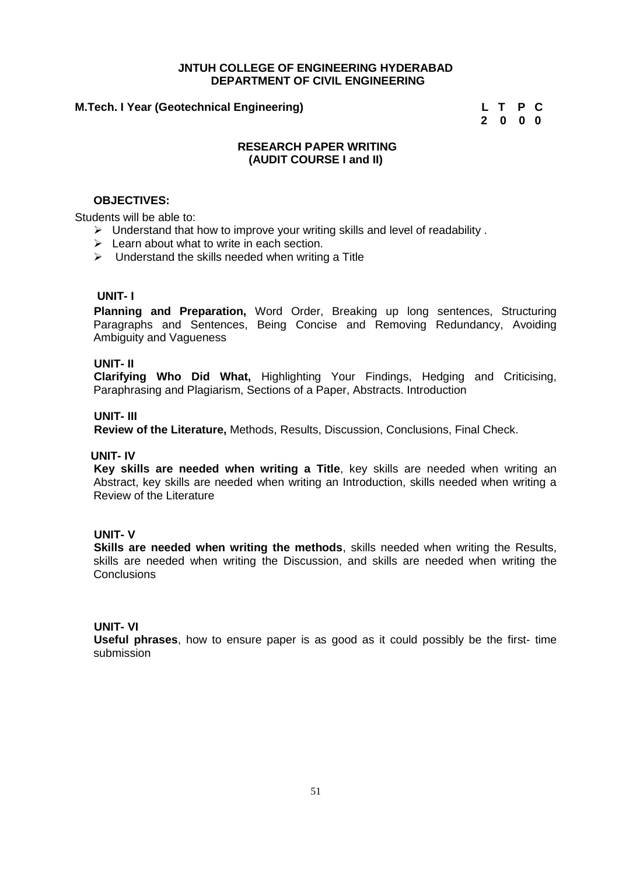#### **M.Tech. I Year (Geotechnical Engineering) L T P C**

**2 0 0 0**

#### **RESEARCH PAPER WRITING (AUDIT COURSE I and II)**

#### **OBJECTIVES:**

Students will be able to:

- $\triangleright$  Understand that how to improve your writing skills and level of readability.
- $\triangleright$  Learn about what to write in each section.
- $\triangleright$  Understand the skills needed when writing a Title

#### **UNIT- I**

**Planning and Preparation,** Word Order, Breaking up long sentences, Structuring Paragraphs and Sentences, Being Concise and Removing Redundancy, Avoiding Ambiguity and Vagueness

#### **UNIT- II**

**Clarifying Who Did What,** Highlighting Your Findings, Hedging and Criticising, Paraphrasing and Plagiarism, Sections of a Paper, Abstracts. Introduction

#### **UNIT- III**

**Review of the Literature,** Methods, Results, Discussion, Conclusions, Final Check.

#### **UNIT- IV**

**Key skills are needed when writing a Title**, key skills are needed when writing an Abstract, key skills are needed when writing an Introduction, skills needed when writing a Review of the Literature

#### **UNIT- V**

**Skills are needed when writing the methods**, skills needed when writing the Results, skills are needed when writing the Discussion, and skills are needed when writing the **Conclusions** 

#### **UNIT- VI**

**Useful phrases**, how to ensure paper is as good as it could possibly be the first- time submission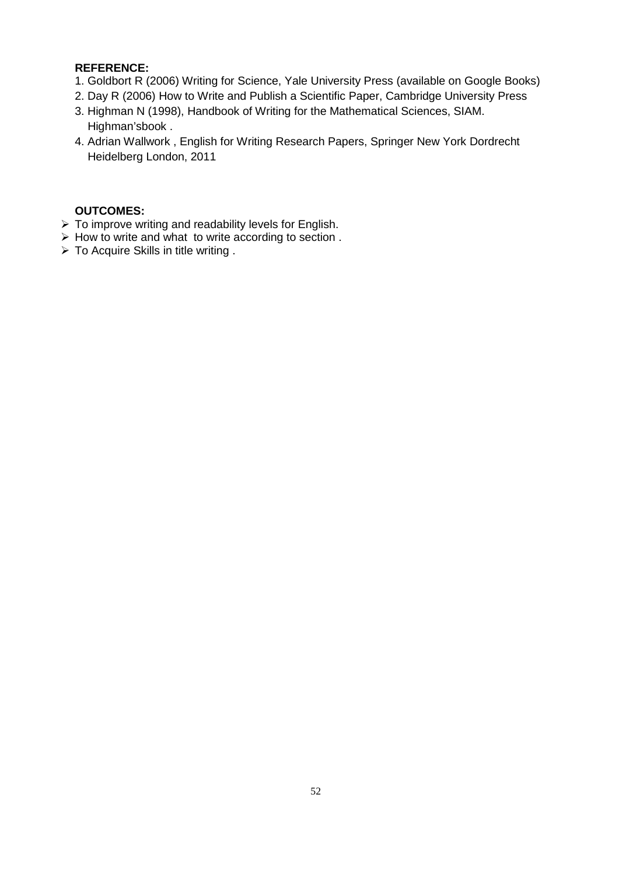- 1. Goldbort R (2006) Writing for Science, Yale University Press (available on Google Books)
- 2. Day R (2006) How to Write and Publish a Scientific Paper, Cambridge University Press
- 3. Highman N (1998), Handbook of Writing for the Mathematical Sciences, SIAM. Highman'sbook .
- 4. Adrian Wallwork , English for Writing Research Papers, Springer New York Dordrecht Heidelberg London, 2011

- $\triangleright$  To improve writing and readability levels for English.
- $\triangleright$  How to write and what to write according to section .
- $\triangleright$  To Acquire Skills in title writing .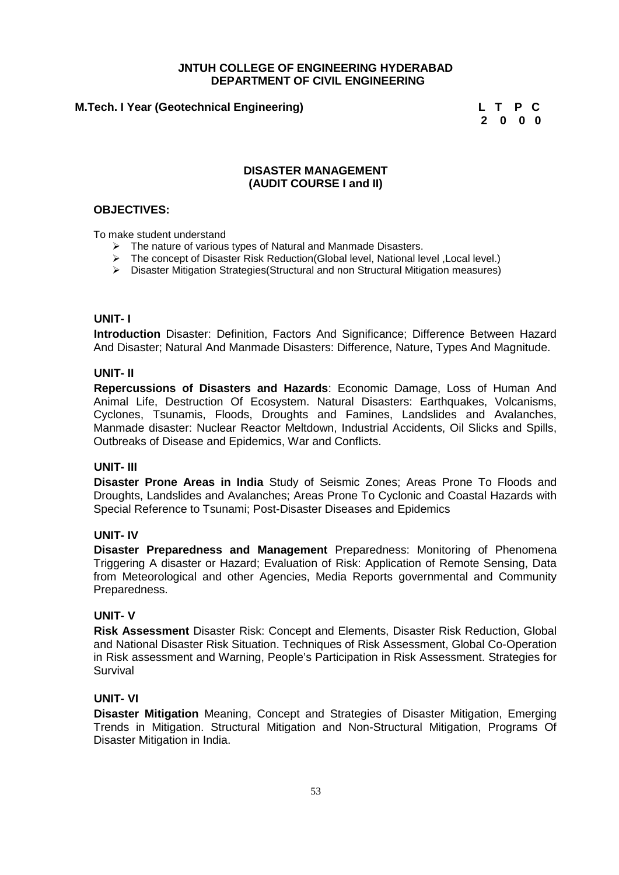#### **M.Tech. I Year (Geotechnical Engineering) L T P C**

**2 0 0 0**

#### **DISASTER MANAGEMENT (AUDIT COURSE I and II)**

#### **OBJECTIVES:**

To make student understand

- $\triangleright$  The nature of various types of Natural and Manmade Disasters.
- The concept of Disaster Risk Reduction(Global level, National level ,Local level.)
- Disaster Mitigation Strategies(Structural and non Structural Mitigation measures)

#### **UNIT- I**

**Introduction** Disaster: Definition, Factors And Significance; Difference Between Hazard And Disaster; Natural And Manmade Disasters: Difference, Nature, Types And Magnitude.

#### **UNIT- II**

**Repercussions of Disasters and Hazards**: Economic Damage, Loss of Human And Animal Life, Destruction Of Ecosystem. Natural Disasters: Earthquakes, Volcanisms, Cyclones, Tsunamis, Floods, Droughts and Famines, Landslides and Avalanches, Manmade disaster: Nuclear Reactor Meltdown, Industrial Accidents, Oil Slicks and Spills, Outbreaks of Disease and Epidemics, War and Conflicts.

#### **UNIT- III**

**Disaster Prone Areas in India** Study of Seismic Zones; Areas Prone To Floods and Droughts, Landslides and Avalanches; Areas Prone To Cyclonic and Coastal Hazards with Special Reference to Tsunami; Post-Disaster Diseases and Epidemics

#### **UNIT- IV**

**Disaster Preparedness and Management** Preparedness: Monitoring of Phenomena Triggering A disaster or Hazard; Evaluation of Risk: Application of Remote Sensing, Data from Meteorological and other Agencies, Media Reports governmental and Community Preparedness.

#### **UNIT- V**

**Risk Assessment** Disaster Risk: Concept and Elements, Disaster Risk Reduction, Global and National Disaster Risk Situation. Techniques of Risk Assessment, Global Co-Operation in Risk assessment and Warning, People's Participation in Risk Assessment. Strategies for Survival

#### **UNIT- VI**

**Disaster Mitigation** Meaning, Concept and Strategies of Disaster Mitigation, Emerging Trends in Mitigation. Structural Mitigation and Non-Structural Mitigation, Programs Of Disaster Mitigation in India.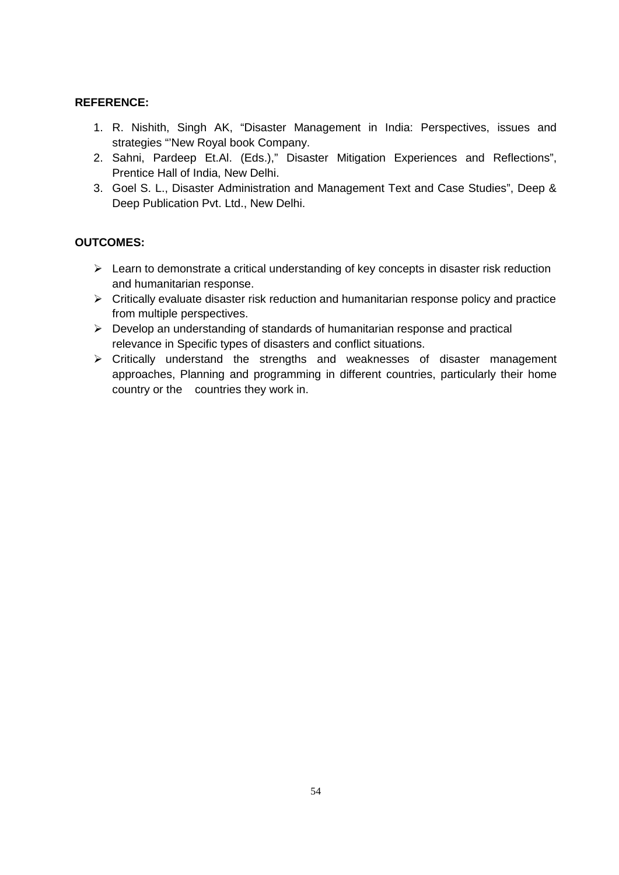- 1. R. Nishith, Singh AK, "Disaster Management in India: Perspectives, issues and strategies "'New Royal book Company.
- 2. Sahni, Pardeep Et.Al. (Eds.)," Disaster Mitigation Experiences and Reflections", Prentice Hall of India, New Delhi.
- 3. Goel S. L., Disaster Administration and Management Text and Case Studies", Deep & Deep Publication Pvt. Ltd., New Delhi.

- $\triangleright$  Learn to demonstrate a critical understanding of key concepts in disaster risk reduction and humanitarian response.
- $\triangleright$  Critically evaluate disaster risk reduction and humanitarian response policy and practice from multiple perspectives.
- $\triangleright$  Develop an understanding of standards of humanitarian response and practical relevance in Specific types of disasters and conflict situations.
- Critically understand the strengths and weaknesses of disaster management approaches, Planning and programming in different countries, particularly their home country or the countries they work in.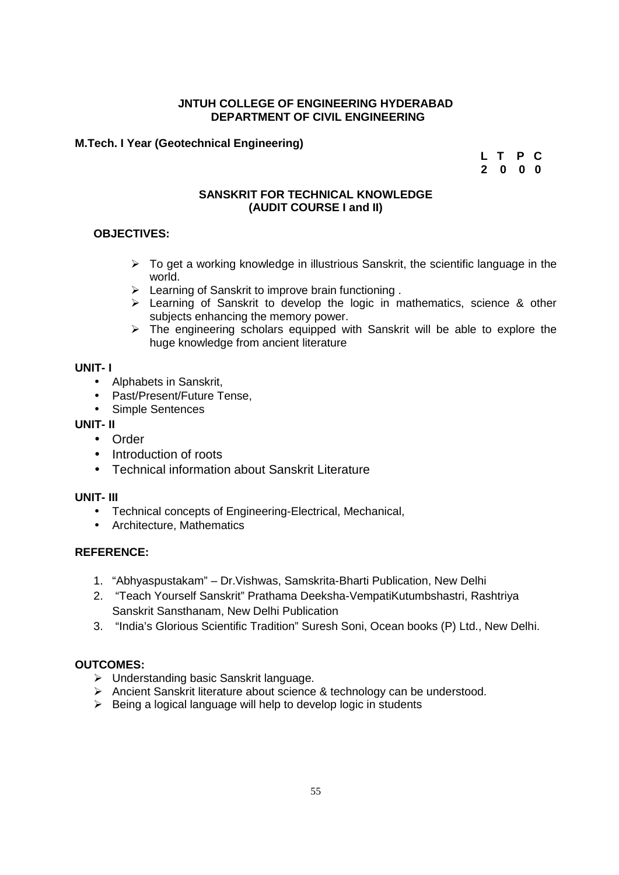#### **M.Tech. I Year (Geotechnical Engineering)**

**L T P C 2 0 0 0**

#### **SANSKRIT FOR TECHNICAL KNOWLEDGE (AUDIT COURSE I and II)**

#### **OBJECTIVES:**

- $\triangleright$  To get a working knowledge in illustrious Sanskrit, the scientific language in the world.
- Example of Sanskrit to improve brain functioning.
- $\triangleright$  Learning of Sanskrit to develop the logic in mathematics, science & other subjects enhancing the memory power.
- $\triangleright$  The engineering scholars equipped with Sanskrit will be able to explore the huge knowledge from ancient literature

#### **UNIT- I**

- Alphabets in Sanskrit.
- Past/Present/Future Tense.
- Simple Sentences

#### **UNIT- II**

- Order
- Introduction of roots
- Technical information about Sanskrit Literature

#### **UNIT- III**

- Technical concepts of Engineering-Electrical, Mechanical,
- Architecture, Mathematics

#### **REFERENCE:**

- 1. "Abhyaspustakam" Dr.Vishwas, Samskrita-Bharti Publication, New Delhi
- 2. "Teach Yourself Sanskrit" Prathama Deeksha-VempatiKutumbshastri, Rashtriya Sanskrit Sansthanam, New Delhi Publication
- 3. "India's Glorious Scientific Tradition" Suresh Soni, Ocean books (P) Ltd., New Delhi.

- Understanding basic Sanskrit language.
- > Ancient Sanskrit literature about science & technology can be understood.
- $\triangleright$  Being a logical language will help to develop logic in students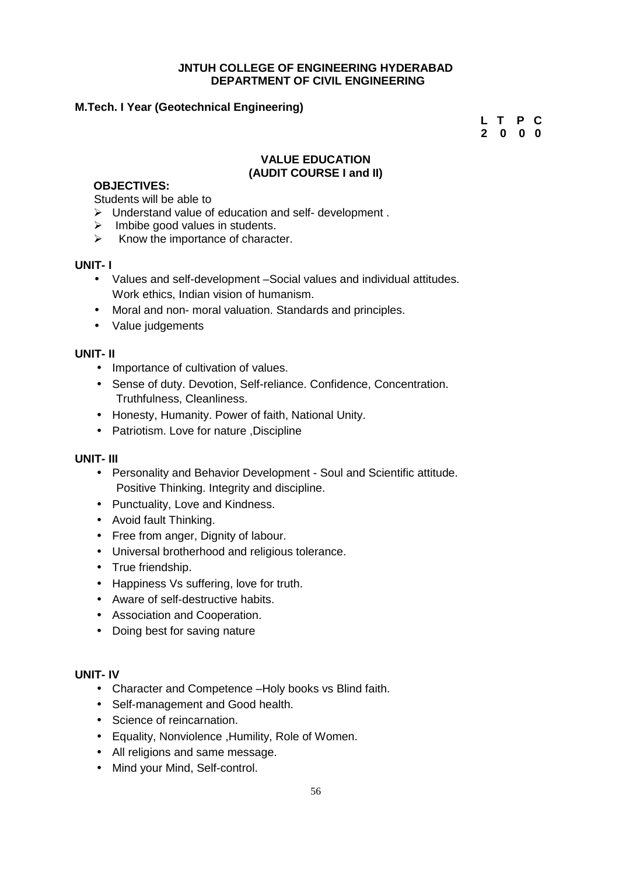#### **M.Tech. I Year (Geotechnical Engineering)**

**L T P C 2 0 0 0**

#### **VALUE EDUCATION (AUDIT COURSE I and II)**

#### **OBJECTIVES:**

Students will be able to

- Understand value of education and self- development .
- $\triangleright$  Imbibe good values in students.
- $\triangleright$  Know the importance of character.

#### **UNIT- I**

- Values and self-development –Social values and individual attitudes. Work ethics, Indian vision of humanism.
- Moral and non- moral valuation. Standards and principles.
- Value judgements

#### **UNIT- II**

- Importance of cultivation of values.
- Sense of duty. Devotion, Self-reliance. Confidence, Concentration. Truthfulness, Cleanliness.
- Honesty, Humanity. Power of faith, National Unity.
- Patriotism. Love for nature ,Discipline

#### **UNIT- III**

- Personality and Behavior Development Soul and Scientific attitude. Positive Thinking. Integrity and discipline.
- Punctuality, Love and Kindness.
- Avoid fault Thinking.
- Free from anger, Dignity of labour.
- Universal brotherhood and religious tolerance.
- True friendship.
- Happiness Vs suffering, love for truth.
- Aware of self-destructive habits.
- Association and Cooperation.
- Doing best for saving nature

#### **UNIT- IV**

- Character and Competence –Holy books vs Blind faith.
- Self-management and Good health.
- Science of reincarnation.
- Equality, Nonviolence ,Humility, Role of Women.
- All religions and same message.
- Mind your Mind, Self-control.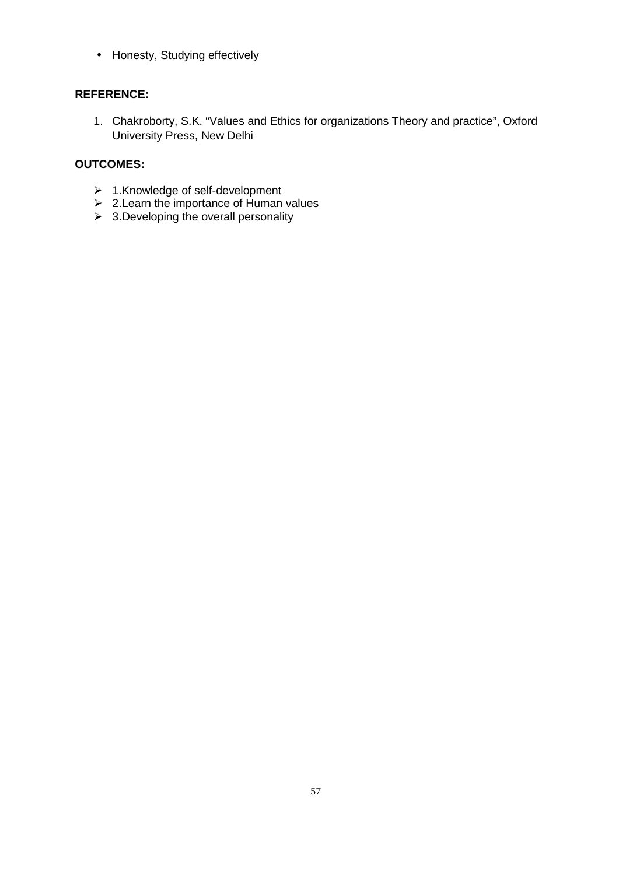• Honesty, Studying effectively

#### **REFERENCE:**

1. Chakroborty, S.K. "Values and Ethics for organizations Theory and practice", Oxford University Press, New Delhi

- 1.Knowledge of self-development
- 2.Learn the importance of Human values
- $\geq$  3.Developing the overall personality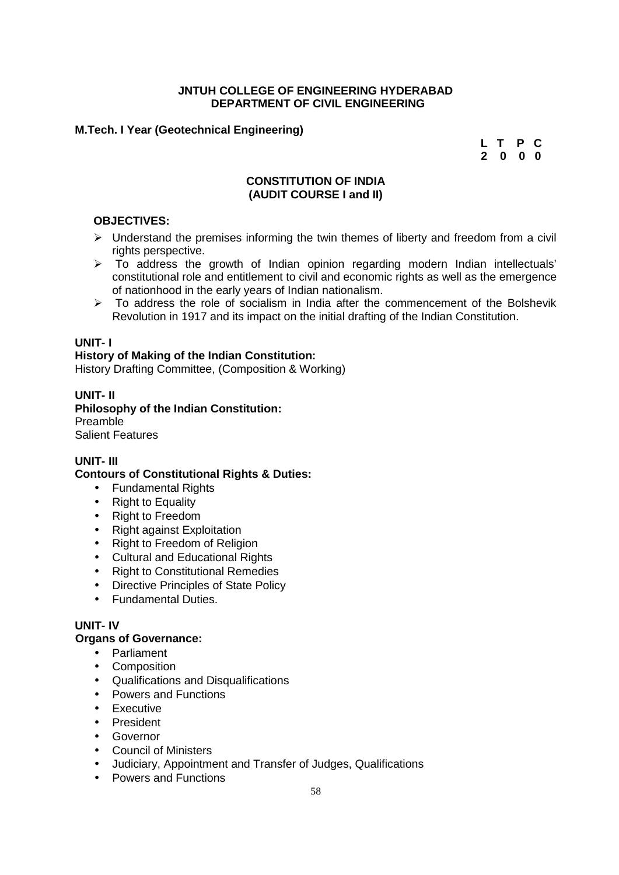#### **M.Tech. I Year (Geotechnical Engineering)**

**L T P C 2 0 0 0**

#### **CONSTITUTION OF INDIA (AUDIT COURSE I and II)**

#### **OBJECTIVES:**

- $\triangleright$  Understand the premises informing the twin themes of liberty and freedom from a civil rights perspective.
- To address the growth of Indian opinion regarding modern Indian intellectuals' constitutional role and entitlement to civil and economic rights as well as the emergence of nationhood in the early years of Indian nationalism.
- $\triangleright$  To address the role of socialism in India after the commencement of the Bolshevik Revolution in 1917 and its impact on the initial drafting of the Indian Constitution.

#### **UNIT- I**

#### **History of Making of the Indian Constitution:**

History Drafting Committee, (Composition & Working)

#### **UNIT- II**

**Philosophy of the Indian Constitution:** Preamble Salient Features

#### **UNIT- III**

#### **Contours of Constitutional Rights & Duties:**

- Fundamental Rights
- Right to Equality
- Right to Freedom
- Right against Exploitation
- Right to Freedom of Religion
- Cultural and Educational Rights
- Right to Constitutional Remedies
- Directive Principles of State Policy
- Fundamental Duties.

#### **UNIT- IV**

#### **Organs of Governance:**

- Parliament
- Composition
- Qualifications and Disqualifications
- Powers and Functions
- **•** Executive
- **•** President
- **•** Governor
- Council of Ministers
- Judiciary, Appointment and Transfer of Judges, Qualifications
- Powers and Functions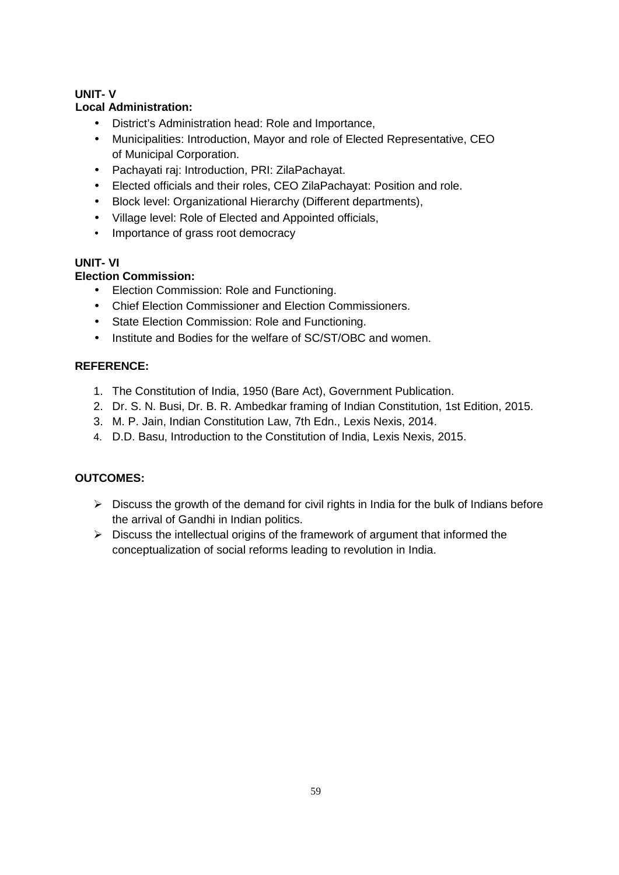### **UNIT- V**

#### **Local Administration:**

- District's Administration head: Role and Importance,
- Municipalities: Introduction, Mayor and role of Elected Representative, CEO of Municipal Corporation.
- Pachayati raj: Introduction, PRI: ZilaPachayat.
- Elected officials and their roles, CEO ZilaPachayat: Position and role.
- Block level: Organizational Hierarchy (Different departments),
- Village level: Role of Elected and Appointed officials,
- Importance of grass root democracy

### **UNIT- VI**

### **Election Commission:**

- Election Commission: Role and Functioning.
- Chief Election Commissioner and Election Commissioners.
- State Election Commission: Role and Functioning.
- Institute and Bodies for the welfare of SC/ST/OBC and women.

### **REFERENCE:**

- 1. The Constitution of India, 1950 (Bare Act), Government Publication.
- 2. Dr. S. N. Busi, Dr. B. R. Ambedkar framing of Indian Constitution, 1st Edition, 2015.
- 3. M. P. Jain, Indian Constitution Law, 7th Edn., Lexis Nexis, 2014.
- 4. D.D. Basu, Introduction to the Constitution of India, Lexis Nexis, 2015.

- $\triangleright$  Discuss the growth of the demand for civil rights in India for the bulk of Indians before the arrival of Gandhi in Indian politics.
- $\triangleright$  Discuss the intellectual origins of the framework of argument that informed the conceptualization of social reforms leading to revolution in India.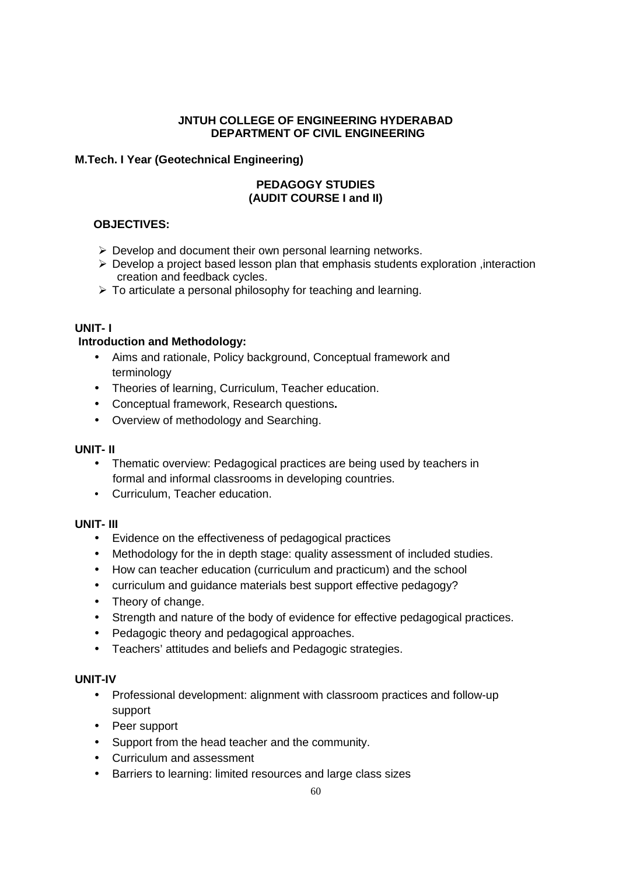#### **M.Tech. I Year (Geotechnical Engineering)**

#### **PEDAGOGY STUDIES (AUDIT COURSE I and II)**

#### **OBJECTIVES:**

- $\triangleright$  Develop and document their own personal learning networks.
- $\triangleright$  Develop a project based lesson plan that emphasis students exploration , interaction creation and feedback cycles.
- $\triangleright$  To articulate a personal philosophy for teaching and learning.

#### **UNIT- I**

#### **Introduction and Methodology:**

- Aims and rationale, Policy background, Conceptual framework and terminology
- Theories of learning, Curriculum, Teacher education.
- Conceptual framework, Research questions**.**
- Overview of methodology and Searching.

#### **UNIT- II**

- Thematic overview: Pedagogical practices are being used by teachers in formal and informal classrooms in developing countries.
- Curriculum, Teacher education.

#### **UNIT- III**

- Evidence on the effectiveness of pedagogical practices
- Methodology for the in depth stage: quality assessment of included studies.
- How can teacher education (curriculum and practicum) and the school
- curriculum and guidance materials best support effective pedagogy?
- Theory of change.
- Strength and nature of the body of evidence for effective pedagogical practices.
- Pedagogic theory and pedagogical approaches.
- Teachers' attitudes and beliefs and Pedagogic strategies.

#### **UNIT-IV**

- Professional development: alignment with classroom practices and follow-up support
- Peer support
- Support from the head teacher and the community.
- Curriculum and assessment
- Barriers to learning: limited resources and large class sizes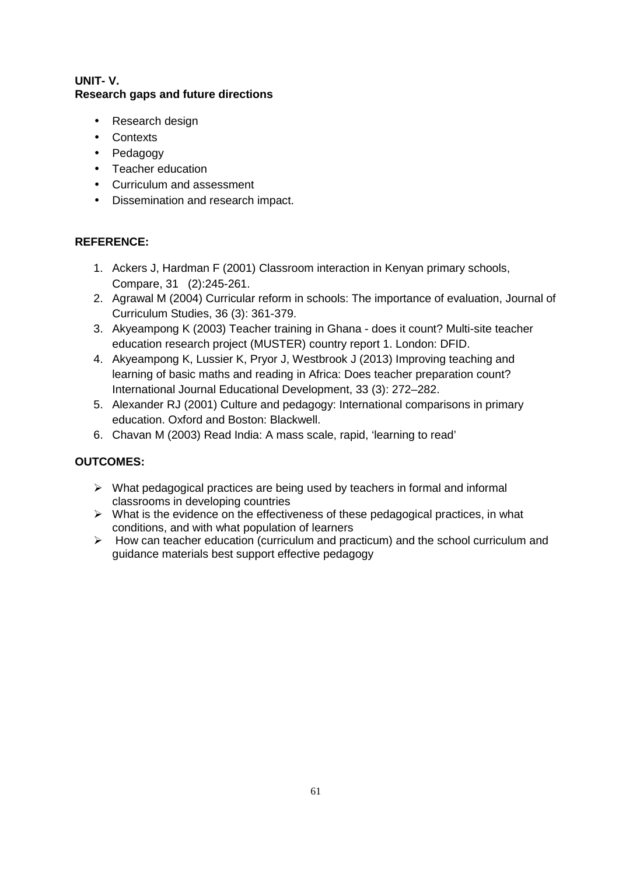#### **UNIT- V. Research gaps and future directions**

- Research design
- Contexts
- Pedagogy
- Teacher education
- Curriculum and assessment
- Dissemination and research impact.

#### **REFERENCE:**

- 1. Ackers J, Hardman F (2001) Classroom interaction in Kenyan primary schools, Compare, 31 (2):245-261.
- 2. Agrawal M (2004) Curricular reform in schools: The importance of evaluation, Journal of Curriculum Studies, 36 (3): 361-379.
- 3. Akyeampong K (2003) Teacher training in Ghana does it count? Multi-site teacher education research project (MUSTER) country report 1. London: DFID.
- 4. Akyeampong K, Lussier K, Pryor J, Westbrook J (2013) Improving teaching and learning of basic maths and reading in Africa: Does teacher preparation count? International Journal Educational Development, 33 (3): 272–282.
- 5. Alexander RJ (2001) Culture and pedagogy: International comparisons in primary education. Oxford and Boston: Blackwell.
- 6. Chavan M (2003) Read India: A mass scale, rapid, 'learning to read'

- $\triangleright$  What pedagogical practices are being used by teachers in formal and informal classrooms in developing countries
- $\triangleright$  What is the evidence on the effectiveness of these pedagogical practices, in what conditions, and with what population of learners
- $\triangleright$  How can teacher education (curriculum and practicum) and the school curriculum and guidance materials best support effective pedagogy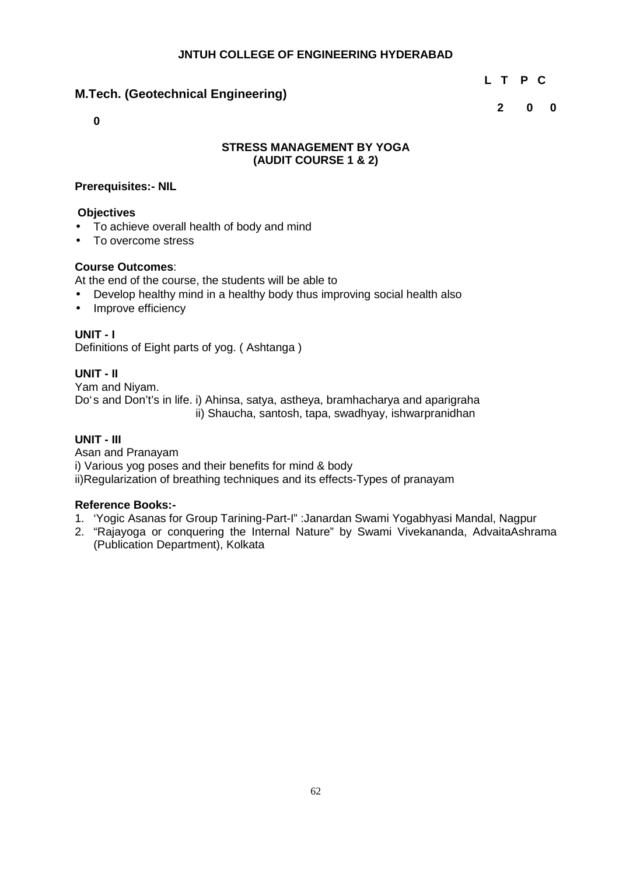### **M.Tech. (Geotechnical Engineering)**

**L T P C**

**2 0 0**

**0**

#### **STRESS MANAGEMENT BY YOGA (AUDIT COURSE 1 & 2)**

#### **Prerequisites:- NIL**

#### **Objectives**

- To achieve overall health of body and mind
- To overcome stress

#### **Course Outcomes**:

At the end of the course, the students will be able to

- Develop healthy mind in a healthy body thus improving social health also
- Improve efficiency

#### **UNIT - I**

Definitions of Eight parts of yog. ( Ashtanga )

#### **UNIT - II**

Yam and Niyam. Do's and Don't's in life. i) Ahinsa, satya, astheya, bramhacharya and aparigraha ii) Shaucha, santosh, tapa, swadhyay, ishwarpranidhan

#### **UNIT - III**

Asan and Pranayam i) Various yog poses and their benefits for mind & body ii)Regularization of breathing techniques and its effects-Types of pranayam

#### **Reference Books:-**

- 1. 'Yogic Asanas for Group Tarining-Part-I" :Janardan Swami Yogabhyasi Mandal, Nagpur
- 2. "Rajayoga or conquering the Internal Nature" by Swami Vivekananda, AdvaitaAshrama (Publication Department), Kolkata